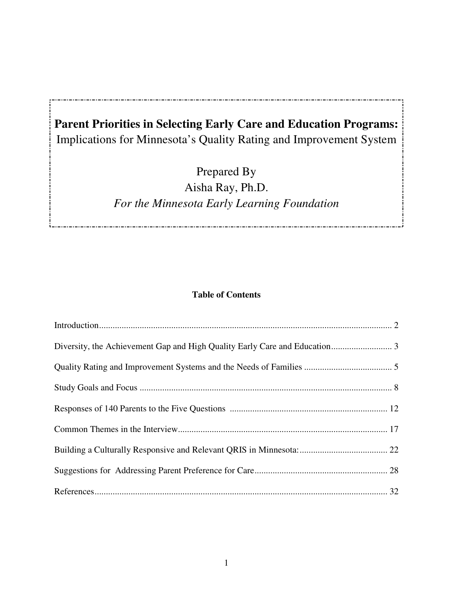# **Parent Priorities in Selecting Early Care and Education Programs:**  Implications for Minnesota's Quality Rating and Improvement System

Prepared By Aisha Ray, Ph.D. *For the Minnesota Early Learning Foundation* 

## **Table of Contents**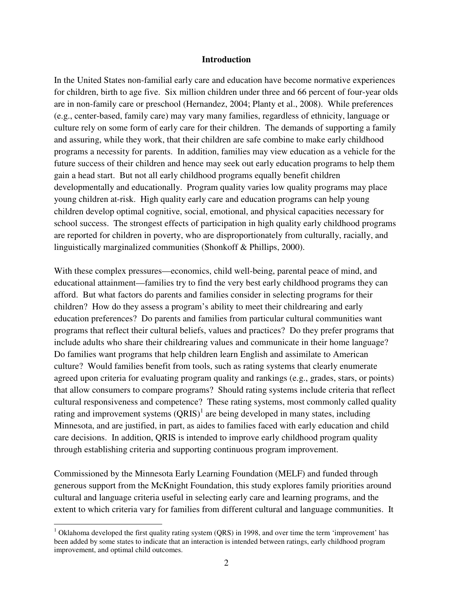#### **Introduction**

In the United States non-familial early care and education have become normative experiences for children, birth to age five. Six million children under three and 66 percent of four-year olds are in non-family care or preschool (Hernandez, 2004; Planty et al., 2008). While preferences (e.g., center-based, family care) may vary many families, regardless of ethnicity, language or culture rely on some form of early care for their children. The demands of supporting a family and assuring, while they work, that their children are safe combine to make early childhood programs a necessity for parents. In addition, families may view education as a vehicle for the future success of their children and hence may seek out early education programs to help them gain a head start. But not all early childhood programs equally benefit children developmentally and educationally. Program quality varies low quality programs may place young children at-risk. High quality early care and education programs can help young children develop optimal cognitive, social, emotional, and physical capacities necessary for school success. The strongest effects of participation in high quality early childhood programs are reported for children in poverty, who are disproportionately from culturally, racially, and linguistically marginalized communities (Shonkoff & Phillips, 2000).

With these complex pressures—economics, child well-being, parental peace of mind, and educational attainment—families try to find the very best early childhood programs they can afford. But what factors do parents and families consider in selecting programs for their children? How do they assess a program's ability to meet their childrearing and early education preferences? Do parents and families from particular cultural communities want programs that reflect their cultural beliefs, values and practices? Do they prefer programs that include adults who share their childrearing values and communicate in their home language? Do families want programs that help children learn English and assimilate to American culture? Would families benefit from tools, such as rating systems that clearly enumerate agreed upon criteria for evaluating program quality and rankings (e.g., grades, stars, or points) that allow consumers to compare programs? Should rating systems include criteria that reflect cultural responsiveness and competence? These rating systems, most commonly called quality rating and improvement systems  $(QRIS)^1$  are being developed in many states, including Minnesota, and are justified, in part, as aides to families faced with early education and child care decisions. In addition, QRIS is intended to improve early childhood program quality through establishing criteria and supporting continuous program improvement.

Commissioned by the Minnesota Early Learning Foundation (MELF) and funded through generous support from the McKnight Foundation, this study explores family priorities around cultural and language criteria useful in selecting early care and learning programs, and the extent to which criteria vary for families from different cultural and language communities. It

 $\overline{a}$ 

<sup>&</sup>lt;sup>1</sup> Oklahoma developed the first quality rating system (QRS) in 1998, and over time the term 'improvement' has been added by some states to indicate that an interaction is intended between ratings, early childhood program improvement, and optimal child outcomes.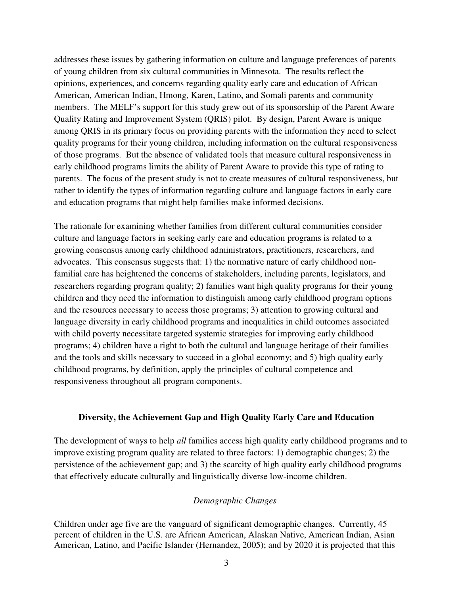addresses these issues by gathering information on culture and language preferences of parents of young children from six cultural communities in Minnesota. The results reflect the opinions, experiences, and concerns regarding quality early care and education of African American, American Indian, Hmong, Karen, Latino, and Somali parents and community members. The MELF's support for this study grew out of its sponsorship of the Parent Aware Quality Rating and Improvement System (QRIS) pilot. By design, Parent Aware is unique among QRIS in its primary focus on providing parents with the information they need to select quality programs for their young children, including information on the cultural responsiveness of those programs. But the absence of validated tools that measure cultural responsiveness in early childhood programs limits the ability of Parent Aware to provide this type of rating to parents. The focus of the present study is not to create measures of cultural responsiveness, but rather to identify the types of information regarding culture and language factors in early care and education programs that might help families make informed decisions.

The rationale for examining whether families from different cultural communities consider culture and language factors in seeking early care and education programs is related to a growing consensus among early childhood administrators, practitioners, researchers, and advocates. This consensus suggests that: 1) the normative nature of early childhood nonfamilial care has heightened the concerns of stakeholders, including parents, legislators, and researchers regarding program quality; 2) families want high quality programs for their young children and they need the information to distinguish among early childhood program options and the resources necessary to access those programs; 3) attention to growing cultural and language diversity in early childhood programs and inequalities in child outcomes associated with child poverty necessitate targeted systemic strategies for improving early childhood programs; 4) children have a right to both the cultural and language heritage of their families and the tools and skills necessary to succeed in a global economy; and 5) high quality early childhood programs, by definition, apply the principles of cultural competence and responsiveness throughout all program components.

#### **Diversity, the Achievement Gap and High Quality Early Care and Education**

The development of ways to help *all* families access high quality early childhood programs and to improve existing program quality are related to three factors: 1) demographic changes; 2) the persistence of the achievement gap; and 3) the scarcity of high quality early childhood programs that effectively educate culturally and linguistically diverse low-income children.

#### *Demographic Changes*

Children under age five are the vanguard of significant demographic changes. Currently, 45 percent of children in the U.S. are African American, Alaskan Native, American Indian, Asian American, Latino, and Pacific Islander (Hernandez, 2005); and by 2020 it is projected that this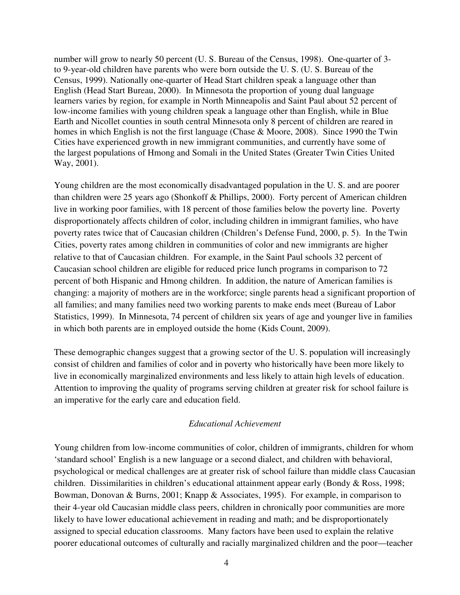number will grow to nearly 50 percent (U. S. Bureau of the Census, 1998). One-quarter of 3 to 9-year-old children have parents who were born outside the U. S. (U. S. Bureau of the Census, 1999). Nationally one-quarter of Head Start children speak a language other than English (Head Start Bureau, 2000). In Minnesota the proportion of young dual language learners varies by region, for example in North Minneapolis and Saint Paul about 52 percent of low-income families with young children speak a language other than English, while in Blue Earth and Nicollet counties in south central Minnesota only 8 percent of children are reared in homes in which English is not the first language (Chase & Moore, 2008). Since 1990 the Twin Cities have experienced growth in new immigrant communities, and currently have some of the largest populations of Hmong and Somali in the United States (Greater Twin Cities United Way, 2001).

Young children are the most economically disadvantaged population in the U. S. and are poorer than children were 25 years ago (Shonkoff & Phillips, 2000). Forty percent of American children live in working poor families, with 18 percent of those families below the poverty line. Poverty disproportionately affects children of color, including children in immigrant families, who have poverty rates twice that of Caucasian children (Children's Defense Fund, 2000, p. 5). In the Twin Cities, poverty rates among children in communities of color and new immigrants are higher relative to that of Caucasian children. For example, in the Saint Paul schools 32 percent of Caucasian school children are eligible for reduced price lunch programs in comparison to 72 percent of both Hispanic and Hmong children. In addition, the nature of American families is changing: a majority of mothers are in the workforce; single parents head a significant proportion of all families; and many families need two working parents to make ends meet (Bureau of Labor Statistics, 1999). In Minnesota, 74 percent of children six years of age and younger live in families in which both parents are in employed outside the home (Kids Count, 2009).

These demographic changes suggest that a growing sector of the U. S. population will increasingly consist of children and families of color and in poverty who historically have been more likely to live in economically marginalized environments and less likely to attain high levels of education. Attention to improving the quality of programs serving children at greater risk for school failure is an imperative for the early care and education field.

#### *Educational Achievement*

Young children from low-income communities of color, children of immigrants, children for whom 'standard school' English is a new language or a second dialect, and children with behavioral, psychological or medical challenges are at greater risk of school failure than middle class Caucasian children. Dissimilarities in children's educational attainment appear early (Bondy & Ross, 1998; Bowman, Donovan & Burns, 2001; Knapp & Associates, 1995). For example, in comparison to their 4-year old Caucasian middle class peers, children in chronically poor communities are more likely to have lower educational achievement in reading and math; and be disproportionately assigned to special education classrooms. Many factors have been used to explain the relative poorer educational outcomes of culturally and racially marginalized children and the poor—teacher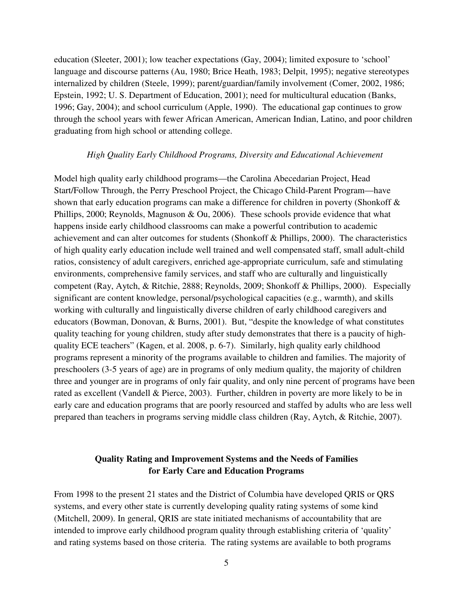education (Sleeter, 2001); low teacher expectations (Gay, 2004); limited exposure to 'school' language and discourse patterns (Au, 1980; Brice Heath, 1983; Delpit, 1995); negative stereotypes internalized by children (Steele, 1999); parent/guardian/family involvement (Comer, 2002, 1986; Epstein, 1992; U. S. Department of Education, 2001); need for multicultural education (Banks, 1996; Gay, 2004); and school curriculum (Apple, 1990). The educational gap continues to grow through the school years with fewer African American, American Indian, Latino, and poor children graduating from high school or attending college.

#### *High Quality Early Childhood Programs, Diversity and Educational Achievement*

Model high quality early childhood programs—the Carolina Abecedarian Project, Head Start/Follow Through, the Perry Preschool Project, the Chicago Child-Parent Program—have shown that early education programs can make a difference for children in poverty (Shonkoff & Phillips, 2000; Reynolds, Magnuson & Ou, 2006). These schools provide evidence that what happens inside early childhood classrooms can make a powerful contribution to academic achievement and can alter outcomes for students (Shonkoff & Phillips, 2000). The characteristics of high quality early education include well trained and well compensated staff, small adult-child ratios, consistency of adult caregivers, enriched age-appropriate curriculum, safe and stimulating environments, comprehensive family services, and staff who are culturally and linguistically competent (Ray, Aytch, & Ritchie, 2888; Reynolds, 2009; Shonkoff & Phillips, 2000). Especially significant are content knowledge, personal/psychological capacities (e.g., warmth), and skills working with culturally and linguistically diverse children of early childhood caregivers and educators (Bowman, Donovan, & Burns, 2001). But, "despite the knowledge of what constitutes quality teaching for young children, study after study demonstrates that there is a paucity of highquality ECE teachers" (Kagen, et al. 2008, p. 6-7). Similarly, high quality early childhood programs represent a minority of the programs available to children and families. The majority of preschoolers (3-5 years of age) are in programs of only medium quality, the majority of children three and younger are in programs of only fair quality, and only nine percent of programs have been rated as excellent (Vandell & Pierce, 2003). Further, children in poverty are more likely to be in early care and education programs that are poorly resourced and staffed by adults who are less well prepared than teachers in programs serving middle class children (Ray, Aytch, & Ritchie, 2007).

## **Quality Rating and Improvement Systems and the Needs of Families for Early Care and Education Programs**

From 1998 to the present 21 states and the District of Columbia have developed QRIS or QRS systems, and every other state is currently developing quality rating systems of some kind (Mitchell, 2009). In general, QRIS are state initiated mechanisms of accountability that are intended to improve early childhood program quality through establishing criteria of 'quality' and rating systems based on those criteria. The rating systems are available to both programs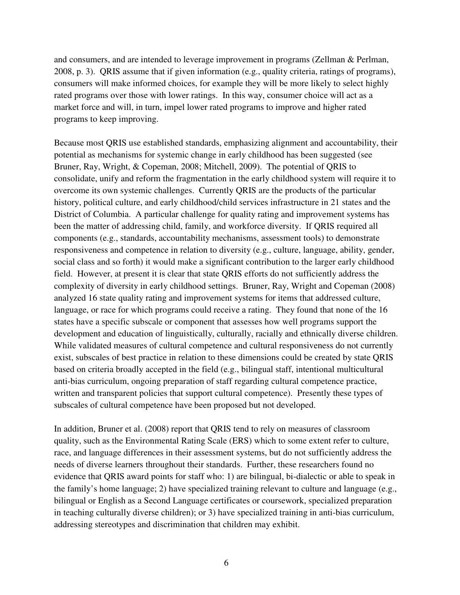and consumers, and are intended to leverage improvement in programs (Zellman & Perlman, 2008, p. 3). QRIS assume that if given information (e.g., quality criteria, ratings of programs), consumers will make informed choices, for example they will be more likely to select highly rated programs over those with lower ratings. In this way, consumer choice will act as a market force and will, in turn, impel lower rated programs to improve and higher rated programs to keep improving.

Because most QRIS use established standards, emphasizing alignment and accountability, their potential as mechanisms for systemic change in early childhood has been suggested (see Bruner, Ray, Wright, & Copeman, 2008; Mitchell, 2009). The potential of QRIS to consolidate, unify and reform the fragmentation in the early childhood system will require it to overcome its own systemic challenges. Currently QRIS are the products of the particular history, political culture, and early childhood/child services infrastructure in 21 states and the District of Columbia. A particular challenge for quality rating and improvement systems has been the matter of addressing child, family, and workforce diversity. If QRIS required all components (e.g., standards, accountability mechanisms, assessment tools) to demonstrate responsiveness and competence in relation to diversity (e.g., culture, language, ability, gender, social class and so forth) it would make a significant contribution to the larger early childhood field. However, at present it is clear that state QRIS efforts do not sufficiently address the complexity of diversity in early childhood settings. Bruner, Ray, Wright and Copeman (2008) analyzed 16 state quality rating and improvement systems for items that addressed culture, language, or race for which programs could receive a rating. They found that none of the 16 states have a specific subscale or component that assesses how well programs support the development and education of linguistically, culturally, racially and ethnically diverse children. While validated measures of cultural competence and cultural responsiveness do not currently exist, subscales of best practice in relation to these dimensions could be created by state QRIS based on criteria broadly accepted in the field (e.g., bilingual staff, intentional multicultural anti-bias curriculum, ongoing preparation of staff regarding cultural competence practice, written and transparent policies that support cultural competence). Presently these types of subscales of cultural competence have been proposed but not developed.

In addition, Bruner et al. (2008) report that QRIS tend to rely on measures of classroom quality, such as the Environmental Rating Scale (ERS) which to some extent refer to culture, race, and language differences in their assessment systems, but do not sufficiently address the needs of diverse learners throughout their standards. Further, these researchers found no evidence that QRIS award points for staff who: 1) are bilingual, bi-dialectic or able to speak in the family's home language; 2) have specialized training relevant to culture and language (e.g., bilingual or English as a Second Language certificates or coursework, specialized preparation in teaching culturally diverse children); or 3) have specialized training in anti-bias curriculum, addressing stereotypes and discrimination that children may exhibit.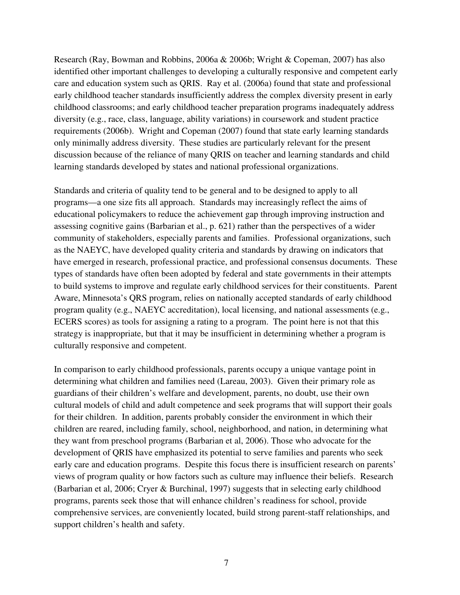Research (Ray, Bowman and Robbins, 2006a & 2006b; Wright & Copeman, 2007) has also identified other important challenges to developing a culturally responsive and competent early care and education system such as QRIS. Ray et al. (2006a) found that state and professional early childhood teacher standards insufficiently address the complex diversity present in early childhood classrooms; and early childhood teacher preparation programs inadequately address diversity (e.g., race, class, language, ability variations) in coursework and student practice requirements (2006b). Wright and Copeman (2007) found that state early learning standards only minimally address diversity. These studies are particularly relevant for the present discussion because of the reliance of many QRIS on teacher and learning standards and child learning standards developed by states and national professional organizations.

Standards and criteria of quality tend to be general and to be designed to apply to all programs—a one size fits all approach. Standards may increasingly reflect the aims of educational policymakers to reduce the achievement gap through improving instruction and assessing cognitive gains (Barbarian et al., p. 621) rather than the perspectives of a wider community of stakeholders, especially parents and families. Professional organizations, such as the NAEYC, have developed quality criteria and standards by drawing on indicators that have emerged in research, professional practice, and professional consensus documents. These types of standards have often been adopted by federal and state governments in their attempts to build systems to improve and regulate early childhood services for their constituents. Parent Aware, Minnesota's QRS program, relies on nationally accepted standards of early childhood program quality (e.g., NAEYC accreditation), local licensing, and national assessments (e.g., ECERS scores) as tools for assigning a rating to a program. The point here is not that this strategy is inappropriate, but that it may be insufficient in determining whether a program is culturally responsive and competent.

In comparison to early childhood professionals, parents occupy a unique vantage point in determining what children and families need (Lareau, 2003). Given their primary role as guardians of their children's welfare and development, parents, no doubt, use their own cultural models of child and adult competence and seek programs that will support their goals for their children. In addition, parents probably consider the environment in which their children are reared, including family, school, neighborhood, and nation, in determining what they want from preschool programs (Barbarian et al, 2006). Those who advocate for the development of QRIS have emphasized its potential to serve families and parents who seek early care and education programs. Despite this focus there is insufficient research on parents' views of program quality or how factors such as culture may influence their beliefs. Research (Barbarian et al, 2006; Cryer & Burchinal, 1997) suggests that in selecting early childhood programs, parents seek those that will enhance children's readiness for school, provide comprehensive services, are conveniently located, build strong parent-staff relationships, and support children's health and safety.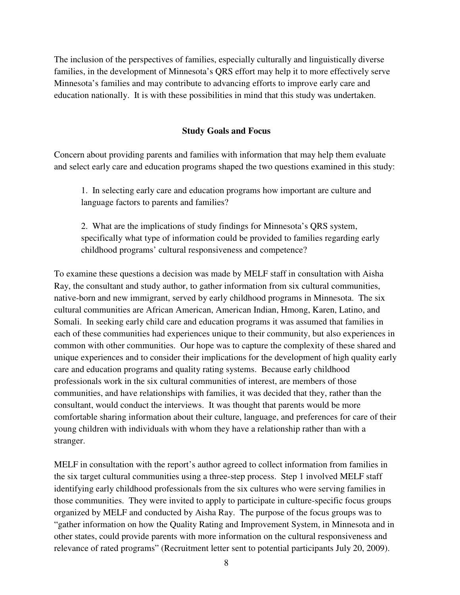The inclusion of the perspectives of families, especially culturally and linguistically diverse families, in the development of Minnesota's QRS effort may help it to more effectively serve Minnesota's families and may contribute to advancing efforts to improve early care and education nationally. It is with these possibilities in mind that this study was undertaken.

#### **Study Goals and Focus**

Concern about providing parents and families with information that may help them evaluate and select early care and education programs shaped the two questions examined in this study:

1. In selecting early care and education programs how important are culture and language factors to parents and families?

2. What are the implications of study findings for Minnesota's QRS system, specifically what type of information could be provided to families regarding early childhood programs' cultural responsiveness and competence?

To examine these questions a decision was made by MELF staff in consultation with Aisha Ray, the consultant and study author, to gather information from six cultural communities, native-born and new immigrant, served by early childhood programs in Minnesota. The six cultural communities are African American, American Indian, Hmong, Karen, Latino, and Somali. In seeking early child care and education programs it was assumed that families in each of these communities had experiences unique to their community, but also experiences in common with other communities. Our hope was to capture the complexity of these shared and unique experiences and to consider their implications for the development of high quality early care and education programs and quality rating systems. Because early childhood professionals work in the six cultural communities of interest, are members of those communities, and have relationships with families, it was decided that they, rather than the consultant, would conduct the interviews. It was thought that parents would be more comfortable sharing information about their culture, language, and preferences for care of their young children with individuals with whom they have a relationship rather than with a stranger.

MELF in consultation with the report's author agreed to collect information from families in the six target cultural communities using a three-step process. Step 1 involved MELF staff identifying early childhood professionals from the six cultures who were serving families in those communities. They were invited to apply to participate in culture-specific focus groups organized by MELF and conducted by Aisha Ray. The purpose of the focus groups was to "gather information on how the Quality Rating and Improvement System, in Minnesota and in other states, could provide parents with more information on the cultural responsiveness and relevance of rated programs" (Recruitment letter sent to potential participants July 20, 2009).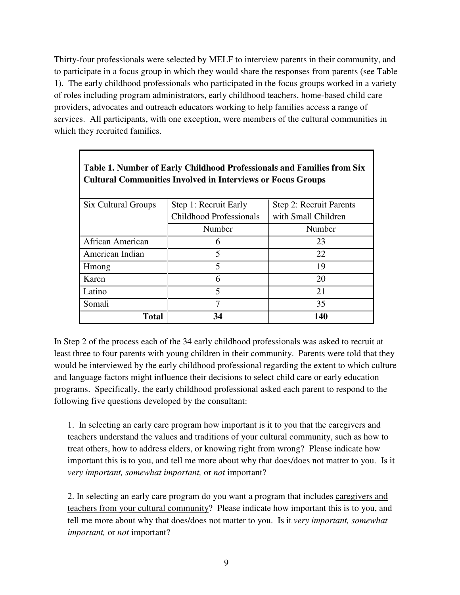Thirty-four professionals were selected by MELF to interview parents in their community, and to participate in a focus group in which they would share the responses from parents (see Table 1). The early childhood professionals who participated in the focus groups worked in a variety of roles including program administrators, early childhood teachers, home-based child care providers, advocates and outreach educators working to help families access a range of services. All participants, with one exception, were members of the cultural communities in which they recruited families.

| <b>Six Cultural Groups</b> | Step 1: Recruit Early<br>Step 2: Recruit Parents |                     |  |
|----------------------------|--------------------------------------------------|---------------------|--|
|                            | <b>Childhood Professionals</b>                   | with Small Children |  |
|                            | Number                                           | Number              |  |
| African American           | 6                                                | 23                  |  |
| American Indian            | 5                                                | 22                  |  |
| Hmong                      | 5                                                | 19                  |  |
| Karen                      | 6                                                | 20                  |  |
| Latino                     | $\overline{\mathbf{S}}$                          | 21                  |  |
| Somali                     | 7                                                | 35                  |  |
| <b>Total</b>               | 34                                               | 140                 |  |

# **Table 1. Number of Early Childhood Professionals and Families from Six Cultural Communities Involved in Interviews or Focus Groups**

In Step 2 of the process each of the 34 early childhood professionals was asked to recruit at least three to four parents with young children in their community. Parents were told that they would be interviewed by the early childhood professional regarding the extent to which culture and language factors might influence their decisions to select child care or early education programs. Specifically, the early childhood professional asked each parent to respond to the following five questions developed by the consultant:

1. In selecting an early care program how important is it to you that the caregivers and teachers understand the values and traditions of your cultural community, such as how to treat others, how to address elders, or knowing right from wrong? Please indicate how important this is to you, and tell me more about why that does/does not matter to you. Is it *very important, somewhat important,* or *not* important?

2. In selecting an early care program do you want a program that includes caregivers and teachers from your cultural community? Please indicate how important this is to you, and tell me more about why that does/does not matter to you. Is it *very important, somewhat important,* or *not* important?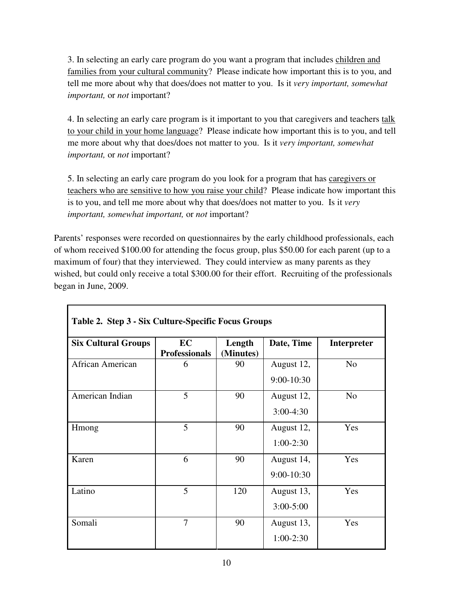3. In selecting an early care program do you want a program that includes children and families from your cultural community? Please indicate how important this is to you, and tell me more about why that does/does not matter to you. Is it *very important, somewhat important,* or *not* important?

4. In selecting an early care program is it important to you that caregivers and teachers talk to your child in your home language? Please indicate how important this is to you, and tell me more about why that does/does not matter to you. Is it *very important, somewhat important,* or *not* important?

5. In selecting an early care program do you look for a program that has caregivers or teachers who are sensitive to how you raise your child? Please indicate how important this is to you, and tell me more about why that does/does not matter to you. Is it *very important, somewhat important,* or *not* important?

Parents' responses were recorded on questionnaires by the early childhood professionals, each of whom received \$100.00 for attending the focus group, plus \$50.00 for each parent (up to a maximum of four) that they interviewed. They could interview as many parents as they wished, but could only receive a total \$300.00 for their effort. Recruiting of the professionals began in June, 2009.

| <b>Six Cultural Groups</b> | EC<br><b>Professionals</b> | Length<br>(Minutes) | Date, Time    | <b>Interpreter</b> |
|----------------------------|----------------------------|---------------------|---------------|--------------------|
| African American           | 6                          | 90                  | August 12,    | N <sub>o</sub>     |
|                            |                            |                     | 9:00-10:30    |                    |
| American Indian            | 5                          | 90                  | August 12,    | N <sub>o</sub>     |
|                            |                            |                     | $3:00-4:30$   |                    |
| Hmong                      | 5                          | 90                  | August 12,    | Yes                |
|                            |                            |                     | $1:00-2:30$   |                    |
| Karen                      | 6                          | 90                  | August 14,    | Yes                |
|                            |                            |                     | 9:00-10:30    |                    |
| Latino                     | 5                          | 120                 | August 13,    | Yes                |
|                            |                            |                     | $3:00 - 5:00$ |                    |
| Somali                     | $\overline{7}$             | 90                  | August 13,    | Yes                |
|                            |                            |                     | $1:00-2:30$   |                    |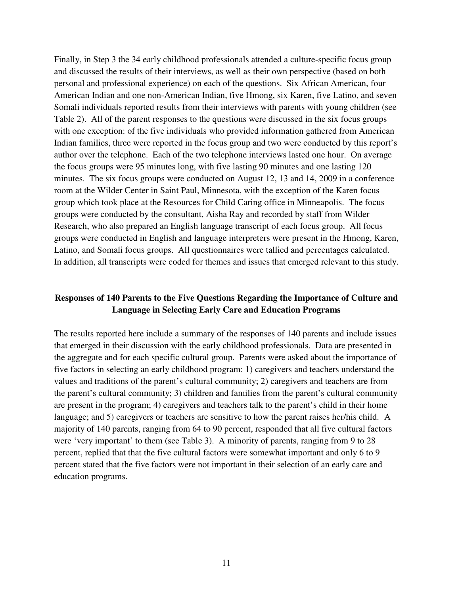Finally, in Step 3 the 34 early childhood professionals attended a culture-specific focus group and discussed the results of their interviews, as well as their own perspective (based on both personal and professional experience) on each of the questions. Six African American, four American Indian and one non-American Indian, five Hmong, six Karen, five Latino, and seven Somali individuals reported results from their interviews with parents with young children (see Table 2). All of the parent responses to the questions were discussed in the six focus groups with one exception: of the five individuals who provided information gathered from American Indian families, three were reported in the focus group and two were conducted by this report's author over the telephone. Each of the two telephone interviews lasted one hour. On average the focus groups were 95 minutes long, with five lasting 90 minutes and one lasting 120 minutes. The six focus groups were conducted on August 12, 13 and 14, 2009 in a conference room at the Wilder Center in Saint Paul, Minnesota, with the exception of the Karen focus group which took place at the Resources for Child Caring office in Minneapolis. The focus groups were conducted by the consultant, Aisha Ray and recorded by staff from Wilder Research, who also prepared an English language transcript of each focus group. All focus groups were conducted in English and language interpreters were present in the Hmong, Karen, Latino, and Somali focus groups. All questionnaires were tallied and percentages calculated. In addition, all transcripts were coded for themes and issues that emerged relevant to this study.

## **Responses of 140 Parents to the Five Questions Regarding the Importance of Culture and Language in Selecting Early Care and Education Programs**

The results reported here include a summary of the responses of 140 parents and include issues that emerged in their discussion with the early childhood professionals. Data are presented in the aggregate and for each specific cultural group. Parents were asked about the importance of five factors in selecting an early childhood program: 1) caregivers and teachers understand the values and traditions of the parent's cultural community; 2) caregivers and teachers are from the parent's cultural community; 3) children and families from the parent's cultural community are present in the program; 4) caregivers and teachers talk to the parent's child in their home language; and 5) caregivers or teachers are sensitive to how the parent raises her/his child.A majority of 140 parents, ranging from 64 to 90 percent, responded that all five cultural factors were 'very important' to them (see Table 3). A minority of parents, ranging from 9 to 28 percent, replied that that the five cultural factors were somewhat important and only 6 to 9 percent stated that the five factors were not important in their selection of an early care and education programs.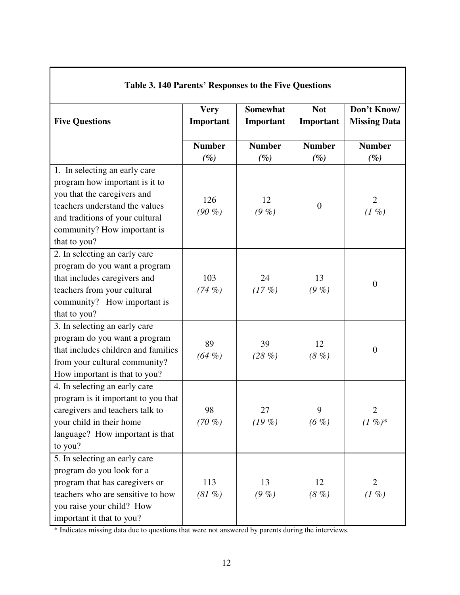| Lable 5. 140 Latellis Responses to the Five Questions                                                                                                                                                              |                          |                              |                         |                                    |  |  |  |
|--------------------------------------------------------------------------------------------------------------------------------------------------------------------------------------------------------------------|--------------------------|------------------------------|-------------------------|------------------------------------|--|--|--|
| <b>Five Questions</b>                                                                                                                                                                                              | <b>Very</b><br>Important | <b>Somewhat</b><br>Important | <b>Not</b><br>Important | Don't Know/<br><b>Missing Data</b> |  |  |  |
|                                                                                                                                                                                                                    | <b>Number</b>            | <b>Number</b>                | <b>Number</b>           | <b>Number</b>                      |  |  |  |
|                                                                                                                                                                                                                    | $(\%)$                   | $(\%)$                       | $(\%)$                  | $(\%)$                             |  |  |  |
| 1. In selecting an early care<br>program how important is it to<br>you that the caregivers and<br>teachers understand the values<br>and traditions of your cultural<br>community? How important is<br>that to you? | 126<br>$(90\%)$          | 12<br>(9, %)                 | $\boldsymbol{0}$        | $\overline{2}$<br>(1, 0)           |  |  |  |
| 2. In selecting an early care<br>program do you want a program<br>that includes caregivers and<br>teachers from your cultural<br>community? How important is<br>that to you?                                       | 103<br>(74%)             | 24<br>(17%)                  | 13<br>(9, %)            | $\boldsymbol{0}$                   |  |  |  |
| 3. In selecting an early care<br>program do you want a program<br>that includes children and families<br>from your cultural community?<br>How important is that to you?                                            | 89<br>$(64\%)$           | 39<br>(28%)                  | 12<br>(8, %)            | $\boldsymbol{0}$                   |  |  |  |
| 4. In selecting an early care<br>program is it important to you that<br>caregivers and teachers talk to<br>your child in their home<br>language? How important is that<br>to you?                                  | 98<br>$(70\%)$           | 27<br>(19%)                  | 9<br>$(6 \%)$           | $\overline{2}$<br>$(1 \%)^*$       |  |  |  |
| 5. In selecting an early care<br>program do you look for a<br>program that has caregivers or<br>teachers who are sensitive to how<br>you raise your child? How<br>important it that to you?                        | 113<br>(81, %)           | 13<br>(9, %)                 | 12<br>(8, %)            | $\overline{2}$<br>(1, 0)           |  |  |  |

#### **Table 3. 140 Parents' Responses to the Five Questions**

\* Indicates missing data due to questions that were not answered by parents during the interviews.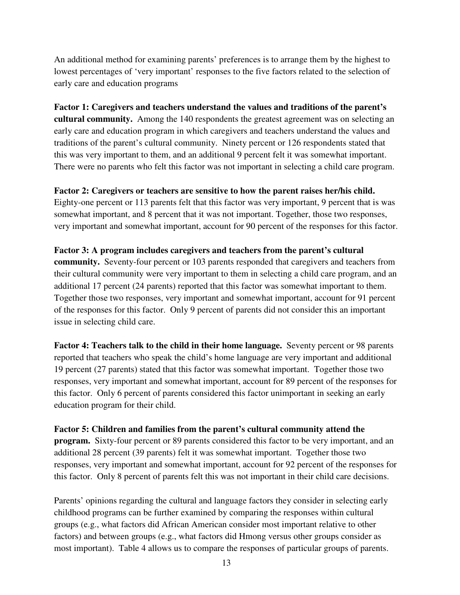An additional method for examining parents' preferences is to arrange them by the highest to lowest percentages of 'very important' responses to the five factors related to the selection of early care and education programs

**Factor 1: Caregivers and teachers understand the values and traditions of the parent's cultural community.** Among the 140 respondents the greatest agreement was on selecting an early care and education program in which caregivers and teachers understand the values and traditions of the parent's cultural community. Ninety percent or 126 respondents stated that this was very important to them, and an additional 9 percent felt it was somewhat important. There were no parents who felt this factor was not important in selecting a child care program.

### **Factor 2: Caregivers or teachers are sensitive to how the parent raises her/his child.**

Eighty-one percent or 113 parents felt that this factor was very important, 9 percent that is was somewhat important, and 8 percent that it was not important. Together, those two responses, very important and somewhat important, account for 90 percent of the responses for this factor.

#### **Factor 3: A program includes caregivers and teachers from the parent's cultural**

**community.** Seventy-four percent or 103 parents responded that caregivers and teachers from their cultural community were very important to them in selecting a child care program, and an additional 17 percent (24 parents) reported that this factor was somewhat important to them. Together those two responses, very important and somewhat important, account for 91 percent of the responses for this factor. Only 9 percent of parents did not consider this an important issue in selecting child care.

**Factor 4: Teachers talk to the child in their home language.** Seventy percent or 98 parents reported that teachers who speak the child's home language are very important and additional 19 percent (27 parents) stated that this factor was somewhat important. Together those two responses, very important and somewhat important, account for 89 percent of the responses for this factor. Only 6 percent of parents considered this factor unimportant in seeking an early education program for their child.

#### **Factor 5: Children and families from the parent's cultural community attend the**

**program.** Sixty-four percent or 89 parents considered this factor to be very important, and an additional 28 percent (39 parents) felt it was somewhat important. Together those two responses, very important and somewhat important, account for 92 percent of the responses for this factor. Only 8 percent of parents felt this was not important in their child care decisions.

Parents' opinions regarding the cultural and language factors they consider in selecting early childhood programs can be further examined by comparing the responses within cultural groups (e.g., what factors did African American consider most important relative to other factors) and between groups (e.g., what factors did Hmong versus other groups consider as most important). Table 4 allows us to compare the responses of particular groups of parents.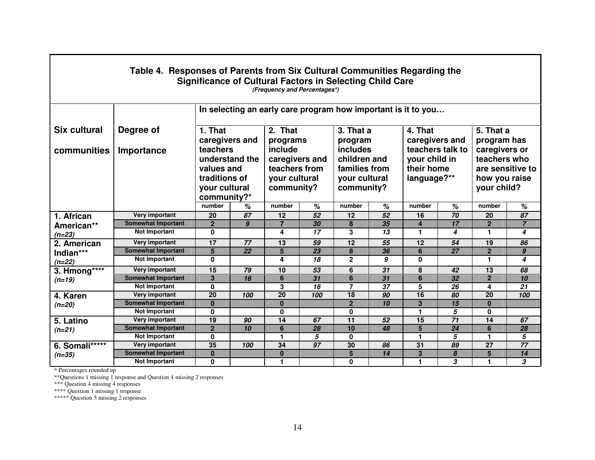| Table 4. Responses of Parents from Six Cultural Communities Regarding the<br><b>Significance of Cultural Factors in Selecting Child Care</b><br>(Frequency and Percentages*) |                           |                                                                                                                      |                 |                                                             |                 |                                                                   |    |                                                                  |    |                |                |
|------------------------------------------------------------------------------------------------------------------------------------------------------------------------------|---------------------------|----------------------------------------------------------------------------------------------------------------------|-----------------|-------------------------------------------------------------|-----------------|-------------------------------------------------------------------|----|------------------------------------------------------------------|----|----------------|----------------|
|                                                                                                                                                                              |                           | In selecting an early care program how important is it to you                                                        |                 |                                                             |                 |                                                                   |    |                                                                  |    |                |                |
| <b>Six cultural</b>                                                                                                                                                          | Degree of                 | 1. That                                                                                                              |                 | 2. That                                                     |                 | 3. That a                                                         |    | 4. That                                                          |    | 5. That a      |                |
| communities                                                                                                                                                                  | Importance                | caregivers and<br>programs<br>include<br>teachers<br>understand the<br>caregivers and<br>values and<br>teachers from |                 | program<br><b>includes</b><br>children and<br>families from |                 | caregivers and<br>teachers talk to<br>your child in<br>their home |    | program has<br>caregivers or<br>teachers who<br>are sensitive to |    |                |                |
|                                                                                                                                                                              |                           | traditions of<br>your cultural<br>your cultural<br>community?<br>community?*                                         |                 | your cultural<br>community?                                 |                 | language?**                                                       |    | how you raise<br>your child?                                     |    |                |                |
|                                                                                                                                                                              |                           | number                                                                                                               | %               | number                                                      | %               | number                                                            | %  | number                                                           | %  | number         | %              |
| 1. African                                                                                                                                                                   | Very important            | 20                                                                                                                   | 87              | 12                                                          | $\overline{52}$ | 12                                                                | 52 | 16                                                               | 70 | 20             | 87             |
| American**<br>$(n=23)$                                                                                                                                                       | <b>Somewhat Important</b> | $\overline{2}$                                                                                                       | 9               | $\overline{7}$                                              | 30              | 8                                                                 | 35 | $\overline{4}$                                                   | 17 | $\overline{2}$ | $\overline{7}$ |
|                                                                                                                                                                              | <b>Not Important</b>      | $\mathbf{0}$                                                                                                         |                 | 4                                                           | 17              | 3                                                                 | 13 | 1                                                                | 4  | 1              | 4              |
| 2. American                                                                                                                                                                  | Very important            | 17                                                                                                                   | 77              | 13                                                          | 59              | $\overline{12}$                                                   | 55 | 12                                                               | 54 | 19             | 86             |
| Indian***                                                                                                                                                                    | <b>Somewhat Important</b> | $5\overline{)}$                                                                                                      | $\overline{22}$ | 5                                                           | 23              | 8                                                                 | 36 | 6                                                                | 27 | $\overline{2}$ | $\pmb{g}$      |
| $(n=22)$                                                                                                                                                                     | <b>Not Important</b>      | $\mathbf{0}$                                                                                                         |                 | 4                                                           | 18              | $\mathbf{2}$                                                      | 9  | $\bf{0}$                                                         |    | 1              | 4              |
| 3. Hmong****                                                                                                                                                                 | Very important            | 15                                                                                                                   | 79              | 10                                                          | 53              | 6                                                                 | 31 | 8                                                                | 42 | 13             | 68             |
| $(n=19)$                                                                                                                                                                     | <b>Somewhat Important</b> | $\mathbf{3}$                                                                                                         | 16              | $6\phantom{1}6$                                             | $\overline{31}$ | 6                                                                 | 31 | 6                                                                | 32 | $\mathbf{2}$   | 10             |
|                                                                                                                                                                              | <b>Not Important</b>      | 0                                                                                                                    |                 | 3                                                           | 16              | 7                                                                 | 37 | 5                                                                | 26 | 4              | 21             |
| 4. Karen<br>$(n=20)$                                                                                                                                                         | Very important            | 20                                                                                                                   | 100             | 20                                                          | 100             | 18                                                                | 90 | 16                                                               | 80 | 20             | 100            |
|                                                                                                                                                                              | <b>Somewhat Important</b> | $\bf{0}$                                                                                                             |                 | $\bf{0}$                                                    |                 | $\overline{2}$                                                    | 10 | 3                                                                | 15 | $\mathbf{0}$   |                |
|                                                                                                                                                                              | <b>Not Important</b>      | 0                                                                                                                    |                 | 0                                                           |                 | 0                                                                 |    | 1                                                                | 5  | 0              |                |
| 5. Latino                                                                                                                                                                    | Very important            | 19                                                                                                                   | 90              | 14                                                          | 67              | 11                                                                | 52 | 15                                                               | 71 | 14             | 67             |
| $(n=21)$                                                                                                                                                                     | <b>Somewhat Important</b> | $\overline{2}$                                                                                                       | 10              | 6                                                           | 28              | 10                                                                | 48 | $5\phantom{1}$                                                   | 24 | 6              | 28             |
|                                                                                                                                                                              | <b>Not Important</b>      | 0                                                                                                                    |                 | 1                                                           | 5               | 0                                                                 |    | 1                                                                | 5  | 1              | 5              |
| 6. Somali*****                                                                                                                                                               | Very important            | 35                                                                                                                   | 100             | 34                                                          | 97              | 30                                                                | 86 | 31                                                               | 89 | 27             | 77             |
| $(n=35)$                                                                                                                                                                     | <b>Somewhat Important</b> | $\bf{0}$                                                                                                             |                 | $\bf{0}$                                                    |                 | 5                                                                 | 14 | 3                                                                | 8  | 5              | 14             |
|                                                                                                                                                                              | <b>Not Important</b>      | $\mathbf 0$                                                                                                          |                 | 1                                                           |                 | 0                                                                 |    | 1                                                                | 3  | 1              | 3              |

г

\* Percentages rounded up \*\*Questions 1 missing 1 response and Question 4 missing 2 responses \*\*\* Question 4 missing 4 responses \*\*\*\* Question 1 missing 1 response \*\*\*\*\* Question 5 missing 2 responses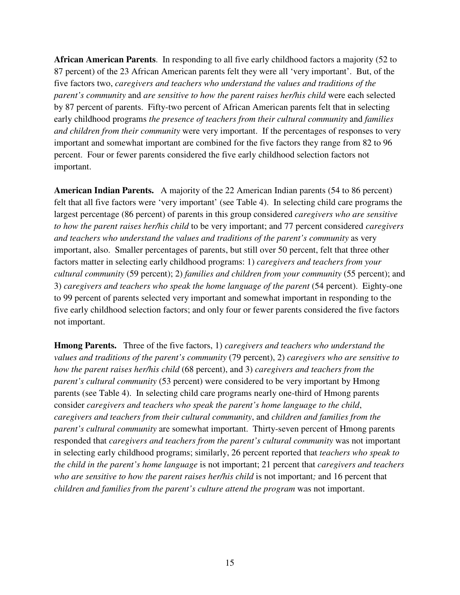**African American Parents**. In responding to all five early childhood factors a majority (52 to 87 percent) of the 23 African American parents felt they were all 'very important'. But, of the five factors two, *caregivers and teachers who understand the values and traditions of the parent's community* and *are sensitive to how the parent raises her/his child* were each selected by 87 percent of parents. Fifty-two percent of African American parents felt that in selecting early childhood programs *the presence of teachers from their cultural community* and *families and children from their community* were very important. If the percentages of responses to very important and somewhat important are combined for the five factors they range from 82 to 96 percent. Four or fewer parents considered the five early childhood selection factors not important.

**American Indian Parents.** A majority of the 22 American Indian parents (54 to 86 percent) felt that all five factors were 'very important' (see Table 4). In selecting child care programs the largest percentage (86 percent) of parents in this group considered *caregivers who are sensitive to how the parent raises her/his child* to be very important; and 77 percent considered *caregivers and teachers who understand the values and traditions of the parent's community* as very important, also. Smaller percentages of parents, but still over 50 percent, felt that three other factors matter in selecting early childhood programs: 1) *caregivers and teachers from your cultural community* (59 percent); 2) *families and children from your community* (55 percent); and 3) *caregivers and teachers who speak the home language of the parent* (54 percent). Eighty-one to 99 percent of parents selected very important and somewhat important in responding to the five early childhood selection factors; and only four or fewer parents considered the five factors not important.

**Hmong Parents.** Three of the five factors, 1) *caregivers and teachers who understand the values and traditions of the parent's community* (79 percent), 2) *caregivers who are sensitive to how the parent raises her/his child* (68 percent), and 3) *caregivers and teachers from the parent's cultural community* (53 percent) were considered to be very important by Hmong parents (see Table 4). In selecting child care programs nearly one-third of Hmong parents consider *caregivers and teachers who speak the parent's home language to the child*, *caregivers and teachers from their cultural community*, and *children and families from the parent's cultural community* are somewhat important. Thirty-seven percent of Hmong parents responded that *caregivers and teachers from the parent's cultural community* was not important in selecting early childhood programs; similarly, 26 percent reported that *teachers who speak to the child in the parent's home language* is not important; 21 percent that *caregivers and teachers who are sensitive to how the parent raises her/his child* is not important*;* and 16 percent that *children and families from the parent's culture attend the program* was not important.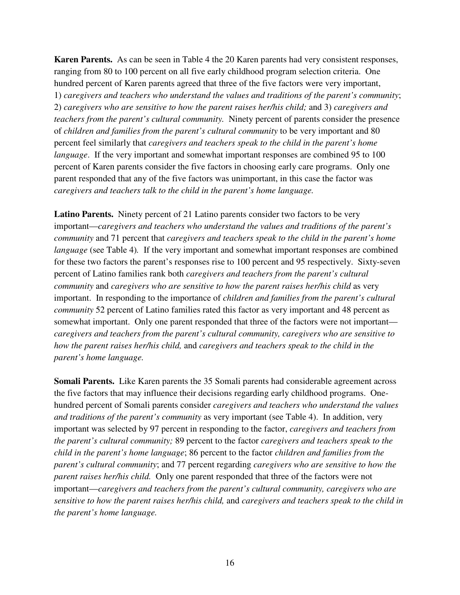**Karen Parents.** As can be seen in Table 4 the 20 Karen parents had very consistent responses, ranging from 80 to 100 percent on all five early childhood program selection criteria. One hundred percent of Karen parents agreed that three of the five factors were very important, 1) *caregivers and teachers who understand the values and traditions of the parent's community*; 2) *caregivers who are sensitive to how the parent raises her/his child;* and 3) *caregivers and teachers from the parent's cultural community.* Ninety percent of parents consider the presence of *children and families from the parent's cultural community* to be very important and 80 percent feel similarly that *caregivers and teachers speak to the child in the parent's home language*. If the very important and somewhat important responses are combined 95 to 100 percent of Karen parents consider the five factors in choosing early care programs. Only one parent responded that any of the five factors was unimportant, in this case the factor was *caregivers and teachers talk to the child in the parent's home language.* 

**Latino Parents.** Ninety percent of 21 Latino parents consider two factors to be very important—*caregivers and teachers who understand the values and traditions of the parent's community* and 71 percent that *caregivers and teachers speak to the child in the parent's home language* (see Table 4). If the very important and somewhat important responses are combined for these two factors the parent's responses rise to 100 percent and 95 respectively. Sixty-seven percent of Latino families rank both *caregivers and teachers from the parent's cultural community* and *caregivers who are sensitive to how the parent raises her/his child* as very important. In responding to the importance of *children and families from the parent's cultural community* 52 percent of Latino families rated this factor as very important and 48 percent as somewhat important. Only one parent responded that three of the factors were not important *caregivers and teachers from the parent's cultural community, caregivers who are sensitive to how the parent raises her/his child,* and *caregivers and teachers speak to the child in the parent's home language.* 

**Somali Parents.** Like Karen parents the 35 Somali parents had considerable agreement across the five factors that may influence their decisions regarding early childhood programs. Onehundred percent of Somali parents consider *caregivers and teachers who understand the values and traditions of the parent's community* as very important (see Table 4). In addition, very important was selected by 97 percent in responding to the factor, *caregivers and teachers from the parent's cultural community;* 89 percent to the factor *caregivers and teachers speak to the child in the parent's home language*; 86 percent to the factor *children and families from the parent's cultural community*; and 77 percent regarding *caregivers who are sensitive to how the parent raises her/his child.* Only one parent responded that three of the factors were not important—*caregivers and teachers from the parent's cultural community, caregivers who are sensitive to how the parent raises her/his child,* and *caregivers and teachers speak to the child in the parent's home language.*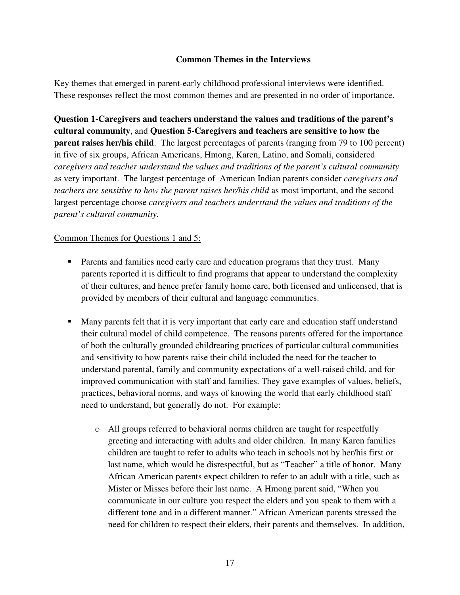### **Common Themes in the Interviews**

Key themes that emerged in parent-early childhood professional interviews were identified. These responses reflect the most common themes and are presented in no order of importance.

**Question 1-Caregivers and teachers understand the values and traditions of the parent's cultural community**, and **Question 5-Caregivers and teachers are sensitive to how the parent raises her/his child**. The largest percentages of parents (ranging from 79 to 100 percent) in five of six groups, African Americans, Hmong, Karen, Latino, and Somali, considered *caregivers and teacher understand the values and traditions of the parent's cultural community* as very important. The largest percentage of American Indian parents consider *caregivers and teachers are sensitive to how the parent raises her/his child* as most important, and the second largest percentage choose *caregivers and teachers understand the values and traditions of the parent's cultural community.*

### Common Themes for Questions 1 and 5:

- **Parents and families need early care and education programs that they trust. Many** parents reported it is difficult to find programs that appear to understand the complexity of their cultures, and hence prefer family home care, both licensed and unlicensed, that is provided by members of their cultural and language communities.
- **Many parents felt that it is very important that early care and education staff understand** their cultural model of child competence. The reasons parents offered for the importance of both the culturally grounded childrearing practices of particular cultural communities and sensitivity to how parents raise their child included the need for the teacher to understand parental, family and community expectations of a well-raised child, and for improved communication with staff and families. They gave examples of values, beliefs, practices, behavioral norms, and ways of knowing the world that early childhood staff need to understand, but generally do not. For example:
	- o All groups referred to behavioral norms children are taught for respectfully greeting and interacting with adults and older children. In many Karen families children are taught to refer to adults who teach in schools not by her/his first or last name, which would be disrespectful, but as "Teacher" a title of honor. Many African American parents expect children to refer to an adult with a title, such as Mister or Misses before their last name. A Hmong parent said, "When you communicate in our culture you respect the elders and you speak to them with a different tone and in a different manner." African American parents stressed the need for children to respect their elders, their parents and themselves. In addition,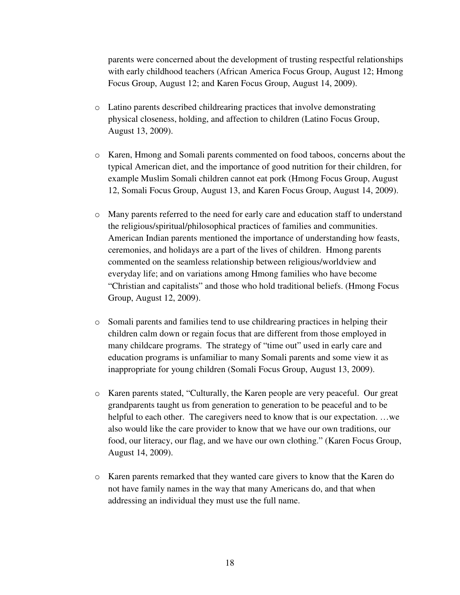parents were concerned about the development of trusting respectful relationships with early childhood teachers (African America Focus Group, August 12; Hmong Focus Group, August 12; and Karen Focus Group, August 14, 2009).

- o Latino parents described childrearing practices that involve demonstrating physical closeness, holding, and affection to children (Latino Focus Group, August 13, 2009).
- o Karen, Hmong and Somali parents commented on food taboos, concerns about the typical American diet, and the importance of good nutrition for their children, for example Muslim Somali children cannot eat pork (Hmong Focus Group, August 12, Somali Focus Group, August 13, and Karen Focus Group, August 14, 2009).
- o Many parents referred to the need for early care and education staff to understand the religious/spiritual/philosophical practices of families and communities. American Indian parents mentioned the importance of understanding how feasts, ceremonies, and holidays are a part of the lives of children. Hmong parents commented on the seamless relationship between religious/worldview and everyday life; and on variations among Hmong families who have become "Christian and capitalists" and those who hold traditional beliefs. (Hmong Focus Group, August 12, 2009).
- o Somali parents and families tend to use childrearing practices in helping their children calm down or regain focus that are different from those employed in many childcare programs. The strategy of "time out" used in early care and education programs is unfamiliar to many Somali parents and some view it as inappropriate for young children (Somali Focus Group, August 13, 2009).
- o Karen parents stated, "Culturally, the Karen people are very peaceful. Our great grandparents taught us from generation to generation to be peaceful and to be helpful to each other. The caregivers need to know that is our expectation. ... we also would like the care provider to know that we have our own traditions, our food, our literacy, our flag, and we have our own clothing." (Karen Focus Group, August 14, 2009).
- o Karen parents remarked that they wanted care givers to know that the Karen do not have family names in the way that many Americans do, and that when addressing an individual they must use the full name.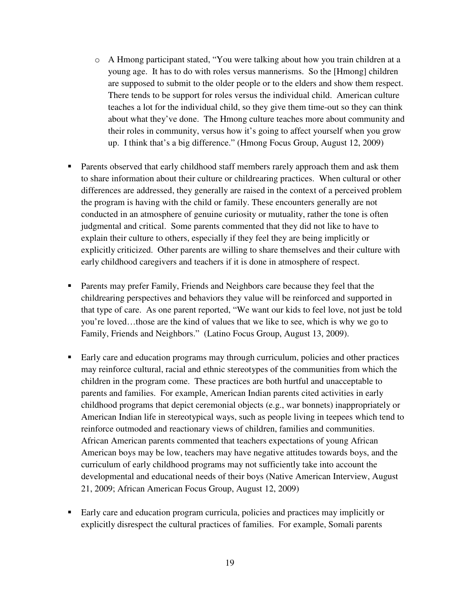- o A Hmong participant stated, "You were talking about how you train children at a young age. It has to do with roles versus mannerisms. So the [Hmong] children are supposed to submit to the older people or to the elders and show them respect. There tends to be support for roles versus the individual child. American culture teaches a lot for the individual child, so they give them time-out so they can think about what they've done. The Hmong culture teaches more about community and their roles in community, versus how it's going to affect yourself when you grow up. I think that's a big difference." (Hmong Focus Group, August 12, 2009)
- **Parents observed that early childhood staff members rarely approach them and ask them** to share information about their culture or childrearing practices. When cultural or other differences are addressed, they generally are raised in the context of a perceived problem the program is having with the child or family. These encounters generally are not conducted in an atmosphere of genuine curiosity or mutuality, rather the tone is often judgmental and critical. Some parents commented that they did not like to have to explain their culture to others, especially if they feel they are being implicitly or explicitly criticized. Other parents are willing to share themselves and their culture with early childhood caregivers and teachers if it is done in atmosphere of respect.
- **Parents may prefer Family, Friends and Neighbors care because they feel that the** childrearing perspectives and behaviors they value will be reinforced and supported in that type of care. As one parent reported, "We want our kids to feel love, not just be told you're loved…those are the kind of values that we like to see, which is why we go to Family, Friends and Neighbors." (Latino Focus Group, August 13, 2009).
- **Early care and education programs may through curriculum, policies and other practices** may reinforce cultural, racial and ethnic stereotypes of the communities from which the children in the program come. These practices are both hurtful and unacceptable to parents and families. For example, American Indian parents cited activities in early childhood programs that depict ceremonial objects (e.g., war bonnets) inappropriately or American Indian life in stereotypical ways, such as people living in teepees which tend to reinforce outmoded and reactionary views of children, families and communities. African American parents commented that teachers expectations of young African American boys may be low, teachers may have negative attitudes towards boys, and the curriculum of early childhood programs may not sufficiently take into account the developmental and educational needs of their boys (Native American Interview, August 21, 2009; African American Focus Group, August 12, 2009)
- Early care and education program curricula, policies and practices may implicitly or explicitly disrespect the cultural practices of families. For example, Somali parents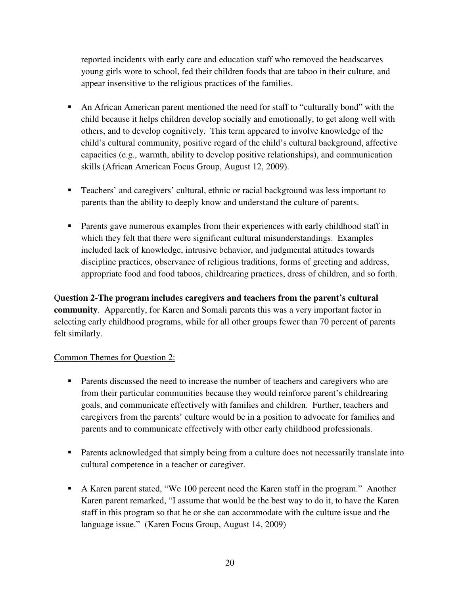reported incidents with early care and education staff who removed the headscarves young girls wore to school, fed their children foods that are taboo in their culture, and appear insensitive to the religious practices of the families.

- An African American parent mentioned the need for staff to "culturally bond" with the child because it helps children develop socially and emotionally, to get along well with others, and to develop cognitively. This term appeared to involve knowledge of the child's cultural community, positive regard of the child's cultural background, affective capacities (e.g., warmth, ability to develop positive relationships), and communication skills (African American Focus Group, August 12, 2009).
- Teachers' and caregivers' cultural, ethnic or racial background was less important to parents than the ability to deeply know and understand the culture of parents.
- Parents gave numerous examples from their experiences with early childhood staff in which they felt that there were significant cultural misunderstandings. Examples included lack of knowledge, intrusive behavior, and judgmental attitudes towards discipline practices, observance of religious traditions, forms of greeting and address, appropriate food and food taboos, childrearing practices, dress of children, and so forth.

Q**uestion 2-The program includes caregivers and teachers from the parent's cultural community**. Apparently, for Karen and Somali parents this was a very important factor in selecting early childhood programs, while for all other groups fewer than 70 percent of parents felt similarly.

## Common Themes for Question 2:

- Parents discussed the need to increase the number of teachers and caregivers who are from their particular communities because they would reinforce parent's childrearing goals, and communicate effectively with families and children. Further, teachers and caregivers from the parents' culture would be in a position to advocate for families and parents and to communicate effectively with other early childhood professionals.
- **Parents acknowledged that simply being from a culture does not necessarily translate into** cultural competence in a teacher or caregiver.
- A Karen parent stated, "We 100 percent need the Karen staff in the program." Another Karen parent remarked, "I assume that would be the best way to do it, to have the Karen staff in this program so that he or she can accommodate with the culture issue and the language issue." (Karen Focus Group, August 14, 2009)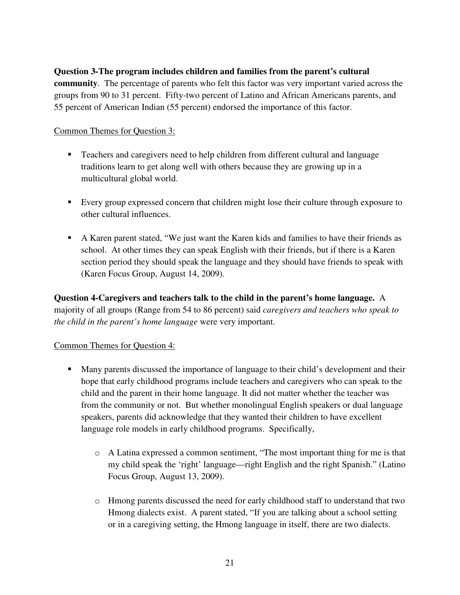## **Question 3-The program includes children and families from the parent's cultural**

**community**. The percentage of parents who felt this factor was very important varied across the groups from 90 to 31 percent. Fifty-two percent of Latino and African Americans parents, and 55 percent of American Indian (55 percent) endorsed the importance of this factor.

## Common Themes for Question 3:

- Teachers and caregivers need to help children from different cultural and language traditions learn to get along well with others because they are growing up in a multicultural global world.
- Every group expressed concern that children might lose their culture through exposure to other cultural influences.
- A Karen parent stated, "We just want the Karen kids and families to have their friends as school. At other times they can speak English with their friends, but if there is a Karen section period they should speak the language and they should have friends to speak with (Karen Focus Group, August 14, 2009).

**Question 4-Caregivers and teachers talk to the child in the parent's home language.** A majority of all groups (Range from 54 to 86 percent) said *caregivers and teachers who speak to the child in the parent's home language* were very important.

## Common Themes for Question 4:

- Many parents discussed the importance of language to their child's development and their hope that early childhood programs include teachers and caregivers who can speak to the child and the parent in their home language. It did not matter whether the teacher was from the community or not. But whether monolingual English speakers or dual language speakers, parents did acknowledge that they wanted their children to have excellent language role models in early childhood programs. Specifically,
	- o A Latina expressed a common sentiment, "The most important thing for me is that my child speak the 'right' language—right English and the right Spanish." (Latino Focus Group, August 13, 2009).
	- o Hmong parents discussed the need for early childhood staff to understand that two Hmong dialects exist. A parent stated, "If you are talking about a school setting or in a caregiving setting, the Hmong language in itself, there are two dialects.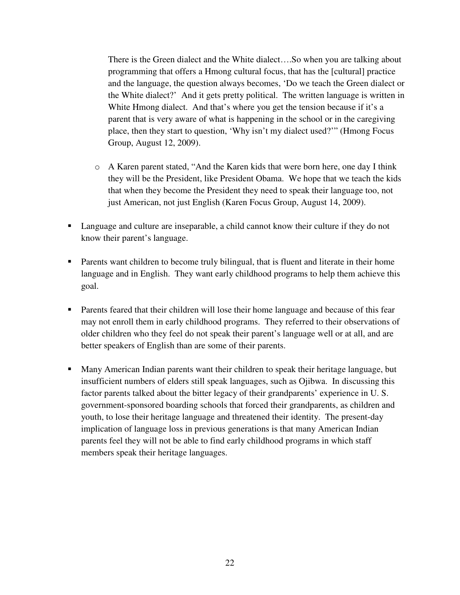There is the Green dialect and the White dialect….So when you are talking about programming that offers a Hmong cultural focus, that has the [cultural] practice and the language, the question always becomes, 'Do we teach the Green dialect or the White dialect?' And it gets pretty political. The written language is written in White Hmong dialect. And that's where you get the tension because if it's a parent that is very aware of what is happening in the school or in the caregiving place, then they start to question, 'Why isn't my dialect used?'" (Hmong Focus Group, August 12, 2009).

- o A Karen parent stated, "And the Karen kids that were born here, one day I think they will be the President, like President Obama. We hope that we teach the kids that when they become the President they need to speak their language too, not just American, not just English (Karen Focus Group, August 14, 2009).
- **Language and culture are inseparable, a child cannot know their culture if they do not** know their parent's language.
- Parents want children to become truly bilingual, that is fluent and literate in their home language and in English. They want early childhood programs to help them achieve this goal.
- **Parents feared that their children will lose their home language and because of this fear** may not enroll them in early childhood programs. They referred to their observations of older children who they feel do not speak their parent's language well or at all, and are better speakers of English than are some of their parents.
- Many American Indian parents want their children to speak their heritage language, but insufficient numbers of elders still speak languages, such as Ojibwa. In discussing this factor parents talked about the bitter legacy of their grandparents' experience in U. S. government-sponsored boarding schools that forced their grandparents, as children and youth, to lose their heritage language and threatened their identity. The present-day implication of language loss in previous generations is that many American Indian parents feel they will not be able to find early childhood programs in which staff members speak their heritage languages.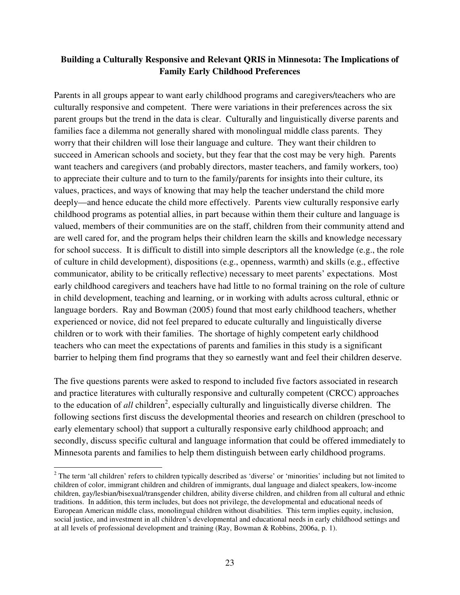## **Building a Culturally Responsive and Relevant QRIS in Minnesota: The Implications of Family Early Childhood Preferences**

Parents in all groups appear to want early childhood programs and caregivers/teachers who are culturally responsive and competent. There were variations in their preferences across the six parent groups but the trend in the data is clear. Culturally and linguistically diverse parents and families face a dilemma not generally shared with monolingual middle class parents. They worry that their children will lose their language and culture. They want their children to succeed in American schools and society, but they fear that the cost may be very high. Parents want teachers and caregivers (and probably directors, master teachers, and family workers, too) to appreciate their culture and to turn to the family/parents for insights into their culture, its values, practices, and ways of knowing that may help the teacher understand the child more deeply—and hence educate the child more effectively. Parents view culturally responsive early childhood programs as potential allies, in part because within them their culture and language is valued, members of their communities are on the staff, children from their community attend and are well cared for, and the program helps their children learn the skills and knowledge necessary for school success. It is difficult to distill into simple descriptors all the knowledge (e.g., the role of culture in child development), dispositions (e.g., openness, warmth) and skills (e.g., effective communicator, ability to be critically reflective) necessary to meet parents' expectations. Most early childhood caregivers and teachers have had little to no formal training on the role of culture in child development, teaching and learning, or in working with adults across cultural, ethnic or language borders. Ray and Bowman (2005) found that most early childhood teachers, whether experienced or novice, did not feel prepared to educate culturally and linguistically diverse children or to work with their families. The shortage of highly competent early childhood teachers who can meet the expectations of parents and families in this study is a significant barrier to helping them find programs that they so earnestly want and feel their children deserve.

The five questions parents were asked to respond to included five factors associated in research and practice literatures with culturally responsive and culturally competent (CRCC) approaches to the education of *all* children<sup>2</sup>, especially culturally and linguistically diverse children. The following sections first discuss the developmental theories and research on children (preschool to early elementary school) that support a culturally responsive early childhood approach; and secondly, discuss specific cultural and language information that could be offered immediately to Minnesota parents and families to help them distinguish between early childhood programs.

<sup>&</sup>lt;sup>2</sup> The term 'all children' refers to children typically described as 'diverse' or 'minorities' including but not limited to children of color, immigrant children and children of immigrants, dual language and dialect speakers, low-income children, gay/lesbian/bisexual/transgender children, ability diverse children, and children from all cultural and ethnic traditions. In addition, this term includes, but does not privilege, the developmental and educational needs of European American middle class, monolingual children without disabilities. This term implies equity, inclusion, social justice, and investment in all children's developmental and educational needs in early childhood settings and at all levels of professional development and training (Ray, Bowman & Robbins, 2006a, p. 1).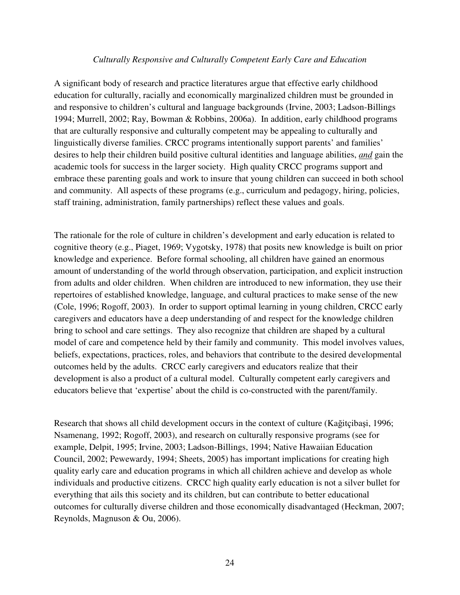#### *Culturally Responsive and Culturally Competent Early Care and Education*

A significant body of research and practice literatures argue that effective early childhood education for culturally, racially and economically marginalized children must be grounded in and responsive to children's cultural and language backgrounds (Irvine, 2003; Ladson-Billings 1994; Murrell, 2002; Ray, Bowman & Robbins, 2006a). In addition, early childhood programs that are culturally responsive and culturally competent may be appealing to culturally and linguistically diverse families. CRCC programs intentionally support parents' and families' desires to help their children build positive cultural identities and language abilities, *and* gain the academic tools for success in the larger society. High quality CRCC programs support and embrace these parenting goals and work to insure that young children can succeed in both school and community. All aspects of these programs (e.g., curriculum and pedagogy, hiring, policies, staff training, administration, family partnerships) reflect these values and goals.

The rationale for the role of culture in children's development and early education is related to cognitive theory (e.g., Piaget, 1969; Vygotsky, 1978) that posits new knowledge is built on prior knowledge and experience. Before formal schooling, all children have gained an enormous amount of understanding of the world through observation, participation, and explicit instruction from adults and older children. When children are introduced to new information, they use their repertoires of established knowledge, language, and cultural practices to make sense of the new (Cole, 1996; Rogoff, 2003). In order to support optimal learning in young children, CRCC early caregivers and educators have a deep understanding of and respect for the knowledge children bring to school and care settings. They also recognize that children are shaped by a cultural model of care and competence held by their family and community. This model involves values, beliefs, expectations, practices, roles, and behaviors that contribute to the desired developmental outcomes held by the adults. CRCC early caregivers and educators realize that their development is also a product of a cultural model. Culturally competent early caregivers and educators believe that 'expertise' about the child is co-constructed with the parent/family.

Research that shows all child development occurs in the context of culture (Kağitçibaşi, 1996; Nsamenang, 1992; Rogoff, 2003), and research on culturally responsive programs (see for example, Delpit, 1995; Irvine, 2003; Ladson-Billings, 1994; Native Hawaiian Education Council, 2002; Pewewardy, 1994; Sheets, 2005) has important implications for creating high quality early care and education programs in which all children achieve and develop as whole individuals and productive citizens. CRCC high quality early education is not a silver bullet for everything that ails this society and its children, but can contribute to better educational outcomes for culturally diverse children and those economically disadvantaged (Heckman, 2007; Reynolds, Magnuson & Ou, 2006).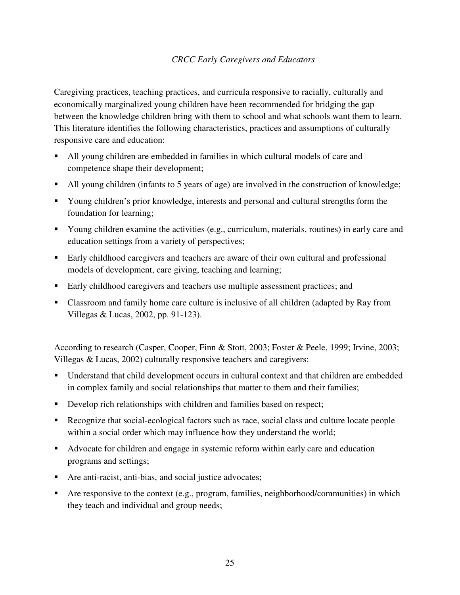## *CRCC Early Caregivers and Educators*

Caregiving practices, teaching practices, and curricula responsive to racially, culturally and economically marginalized young children have been recommended for bridging the gap between the knowledge children bring with them to school and what schools want them to learn. This literature identifies the following characteristics, practices and assumptions of culturally responsive care and education:

- All young children are embedded in families in which cultural models of care and competence shape their development;
- All young children (infants to 5 years of age) are involved in the construction of knowledge;
- Young children's prior knowledge, interests and personal and cultural strengths form the foundation for learning;
- Young children examine the activities (e.g., curriculum, materials, routines) in early care and education settings from a variety of perspectives;
- Early childhood caregivers and teachers are aware of their own cultural and professional models of development, care giving, teaching and learning;
- Early childhood caregivers and teachers use multiple assessment practices; and
- Classroom and family home care culture is inclusive of all children (adapted by Ray from Villegas & Lucas, 2002, pp. 91-123).

According to research (Casper, Cooper, Finn & Stott, 2003; Foster & Peele, 1999; Irvine, 2003; Villegas & Lucas, 2002) culturally responsive teachers and caregivers:

- Understand that child development occurs in cultural context and that children are embedded in complex family and social relationships that matter to them and their families;
- Develop rich relationships with children and families based on respect;
- Recognize that social-ecological factors such as race, social class and culture locate people within a social order which may influence how they understand the world;
- Advocate for children and engage in systemic reform within early care and education programs and settings;
- Are anti-racist, anti-bias, and social justice advocates;
- Are responsive to the context (e.g., program, families, neighborhood/communities) in which they teach and individual and group needs;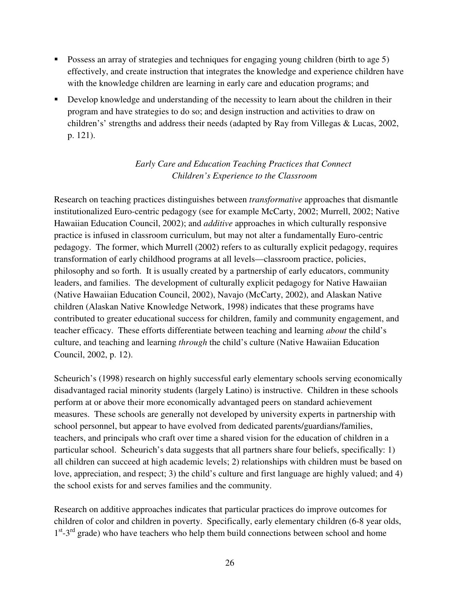- **•** Possess an array of strategies and techniques for engaging young children (birth to age 5) effectively, and create instruction that integrates the knowledge and experience children have with the knowledge children are learning in early care and education programs; and
- Develop knowledge and understanding of the necessity to learn about the children in their program and have strategies to do so; and design instruction and activities to draw on children's' strengths and address their needs (adapted by Ray from Villegas & Lucas, 2002, p. 121).

# *Early Care and Education Teaching Practices that Connect Children's Experience to the Classroom*

Research on teaching practices distinguishes between *transformative* approaches that dismantle institutionalized Euro-centric pedagogy (see for example McCarty, 2002; Murrell, 2002; Native Hawaiian Education Council, 2002); and *additive* approaches in which culturally responsive practice is infused in classroom curriculum, but may not alter a fundamentally Euro-centric pedagogy. The former, which Murrell (2002) refers to as culturally explicit pedagogy, requires transformation of early childhood programs at all levels—classroom practice, policies, philosophy and so forth. It is usually created by a partnership of early educators, community leaders, and families. The development of culturally explicit pedagogy for Native Hawaiian (Native Hawaiian Education Council, 2002), Navajo (McCarty, 2002), and Alaskan Native children (Alaskan Native Knowledge Network, 1998) indicates that these programs have contributed to greater educational success for children, family and community engagement, and teacher efficacy. These efforts differentiate between teaching and learning *about* the child's culture, and teaching and learning *through* the child's culture (Native Hawaiian Education Council, 2002, p. 12).

Scheurich's (1998) research on highly successful early elementary schools serving economically disadvantaged racial minority students (largely Latino) is instructive. Children in these schools perform at or above their more economically advantaged peers on standard achievement measures. These schools are generally not developed by university experts in partnership with school personnel, but appear to have evolved from dedicated parents/guardians/families, teachers, and principals who craft over time a shared vision for the education of children in a particular school. Scheurich's data suggests that all partners share four beliefs, specifically: 1) all children can succeed at high academic levels; 2) relationships with children must be based on love, appreciation, and respect; 3) the child's culture and first language are highly valued; and 4) the school exists for and serves families and the community.

Research on additive approaches indicates that particular practices do improve outcomes for children of color and children in poverty. Specifically, early elementary children (6-8 year olds, 1<sup>st</sup>-3<sup>rd</sup> grade) who have teachers who help them build connections between school and home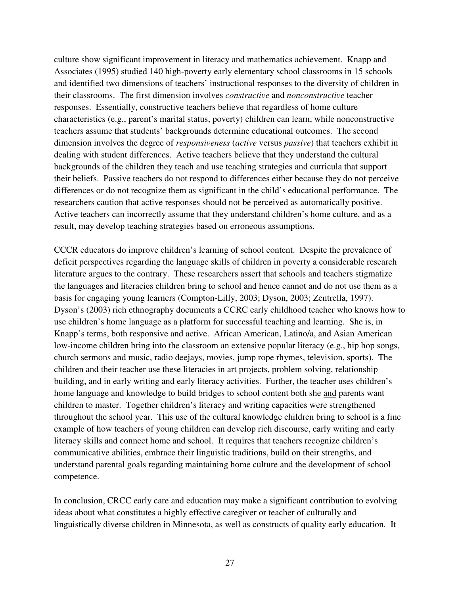culture show significant improvement in literacy and mathematics achievement. Knapp and Associates (1995) studied 140 high-poverty early elementary school classrooms in 15 schools and identified two dimensions of teachers' instructional responses to the diversity of children in their classrooms. The first dimension involves *constructive* and *nonconstructive* teacher responses. Essentially, constructive teachers believe that regardless of home culture characteristics (e.g., parent's marital status, poverty) children can learn, while nonconstructive teachers assume that students' backgrounds determine educational outcomes. The second dimension involves the degree of *responsiveness* (*active* versus *passive*) that teachers exhibit in dealing with student differences. Active teachers believe that they understand the cultural backgrounds of the children they teach and use teaching strategies and curricula that support their beliefs. Passive teachers do not respond to differences either because they do not perceive differences or do not recognize them as significant in the child's educational performance. The researchers caution that active responses should not be perceived as automatically positive. Active teachers can incorrectly assume that they understand children's home culture, and as a result, may develop teaching strategies based on erroneous assumptions.

CCCR educators do improve children's learning of school content. Despite the prevalence of deficit perspectives regarding the language skills of children in poverty a considerable research literature argues to the contrary. These researchers assert that schools and teachers stigmatize the languages and literacies children bring to school and hence cannot and do not use them as a basis for engaging young learners (Compton-Lilly, 2003; Dyson, 2003; Zentrella, 1997). Dyson's (2003) rich ethnography documents a CCRC early childhood teacher who knows how to use children's home language as a platform for successful teaching and learning. She is, in Knapp's terms, both responsive and active. African American, Latino/a, and Asian American low-income children bring into the classroom an extensive popular literacy (e.g., hip hop songs, church sermons and music, radio deejays, movies, jump rope rhymes, television, sports). The children and their teacher use these literacies in art projects, problem solving, relationship building, and in early writing and early literacy activities. Further, the teacher uses children's home language and knowledge to build bridges to school content both she and parents want children to master. Together children's literacy and writing capacities were strengthened throughout the school year. This use of the cultural knowledge children bring to school is a fine example of how teachers of young children can develop rich discourse, early writing and early literacy skills and connect home and school. It requires that teachers recognize children's communicative abilities, embrace their linguistic traditions, build on their strengths, and understand parental goals regarding maintaining home culture and the development of school competence.

In conclusion, CRCC early care and education may make a significant contribution to evolving ideas about what constitutes a highly effective caregiver or teacher of culturally and linguistically diverse children in Minnesota, as well as constructs of quality early education. It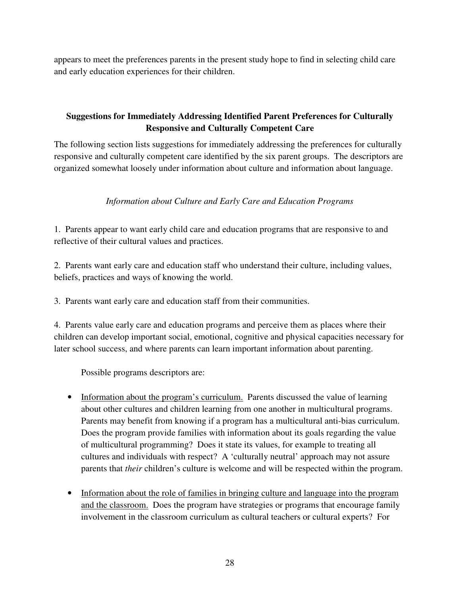appears to meet the preferences parents in the present study hope to find in selecting child care and early education experiences for their children.

# **Suggestions for Immediately Addressing Identified Parent Preferences for Culturally Responsive and Culturally Competent Care**

The following section lists suggestions for immediately addressing the preferences for culturally responsive and culturally competent care identified by the six parent groups. The descriptors are organized somewhat loosely under information about culture and information about language.

## *Information about Culture and Early Care and Education Programs*

1. Parents appear to want early child care and education programs that are responsive to and reflective of their cultural values and practices.

2. Parents want early care and education staff who understand their culture, including values, beliefs, practices and ways of knowing the world.

3. Parents want early care and education staff from their communities.

4. Parents value early care and education programs and perceive them as places where their children can develop important social, emotional, cognitive and physical capacities necessary for later school success, and where parents can learn important information about parenting.

Possible programs descriptors are:

- Information about the program's curriculum. Parents discussed the value of learning about other cultures and children learning from one another in multicultural programs. Parents may benefit from knowing if a program has a multicultural anti-bias curriculum. Does the program provide families with information about its goals regarding the value of multicultural programming? Does it state its values, for example to treating all cultures and individuals with respect? A 'culturally neutral' approach may not assure parents that *their* children's culture is welcome and will be respected within the program.
- Information about the role of families in bringing culture and language into the program and the classroom. Does the program have strategies or programs that encourage family involvement in the classroom curriculum as cultural teachers or cultural experts? For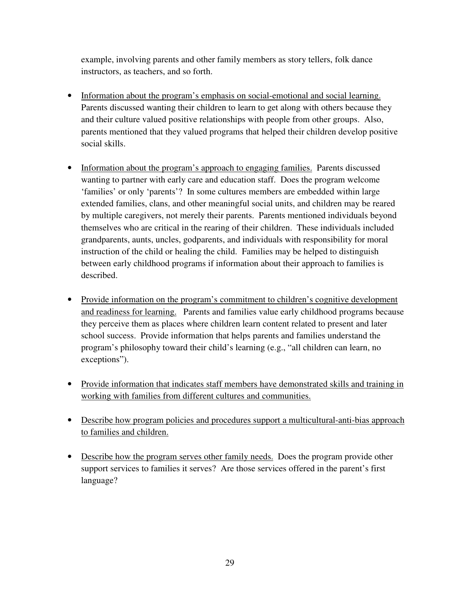example, involving parents and other family members as story tellers, folk dance instructors, as teachers, and so forth.

- Information about the program's emphasis on social-emotional and social learning. Parents discussed wanting their children to learn to get along with others because they and their culture valued positive relationships with people from other groups. Also, parents mentioned that they valued programs that helped their children develop positive social skills.
- Information about the program's approach to engaging families. Parents discussed wanting to partner with early care and education staff. Does the program welcome 'families' or only 'parents'? In some cultures members are embedded within large extended families, clans, and other meaningful social units, and children may be reared by multiple caregivers, not merely their parents. Parents mentioned individuals beyond themselves who are critical in the rearing of their children. These individuals included grandparents, aunts, uncles, godparents, and individuals with responsibility for moral instruction of the child or healing the child. Families may be helped to distinguish between early childhood programs if information about their approach to families is described.
- Provide information on the program's commitment to children's cognitive development and readiness for learning. Parents and families value early childhood programs because they perceive them as places where children learn content related to present and later school success. Provide information that helps parents and families understand the program's philosophy toward their child's learning (e.g., "all children can learn, no exceptions").
- Provide information that indicates staff members have demonstrated skills and training in working with families from different cultures and communities.
- Describe how program policies and procedures support a multicultural-anti-bias approach to families and children.
- Describe how the program serves other family needs. Does the program provide other support services to families it serves? Are those services offered in the parent's first language?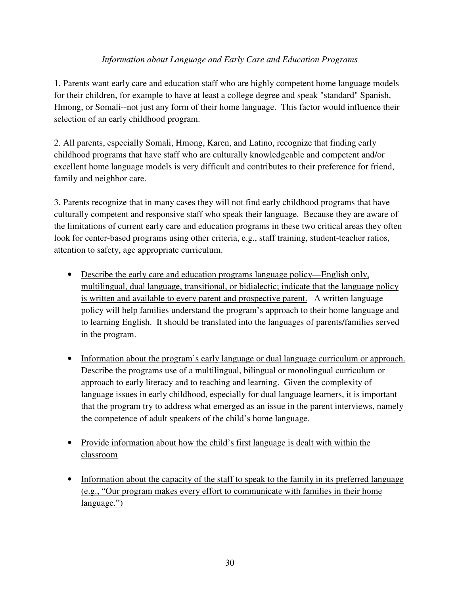## *Information about Language and Early Care and Education Programs*

1. Parents want early care and education staff who are highly competent home language models for their children, for example to have at least a college degree and speak "standard" Spanish, Hmong, or Somali--not just any form of their home language. This factor would influence their selection of an early childhood program.

2. All parents, especially Somali, Hmong, Karen, and Latino, recognize that finding early childhood programs that have staff who are culturally knowledgeable and competent and/or excellent home language models is very difficult and contributes to their preference for friend, family and neighbor care.

3. Parents recognize that in many cases they will not find early childhood programs that have culturally competent and responsive staff who speak their language. Because they are aware of the limitations of current early care and education programs in these two critical areas they often look for center-based programs using other criteria, e.g., staff training, student-teacher ratios, attention to safety, age appropriate curriculum.

- Describe the early care and education programs language policy—English only, multilingual, dual language, transitional, or bidialectic; indicate that the language policy is written and available to every parent and prospective parent. A written language policy will help families understand the program's approach to their home language and to learning English. It should be translated into the languages of parents/families served in the program.
- Information about the program's early language or dual language curriculum or approach. Describe the programs use of a multilingual, bilingual or monolingual curriculum or approach to early literacy and to teaching and learning. Given the complexity of language issues in early childhood, especially for dual language learners, it is important that the program try to address what emerged as an issue in the parent interviews, namely the competence of adult speakers of the child's home language.
- Provide information about how the child's first language is dealt with within the classroom
- Information about the capacity of the staff to speak to the family in its preferred language (e.g., "Our program makes every effort to communicate with families in their home language.")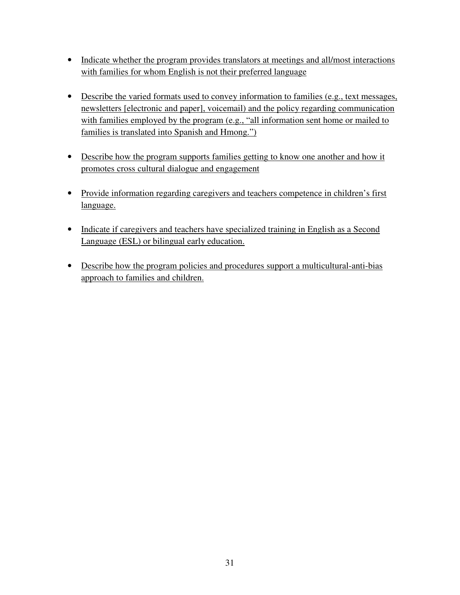- Indicate whether the program provides translators at meetings and all/most interactions with families for whom English is not their preferred language
- Describe the varied formats used to convey information to families (e.g., text messages, newsletters [electronic and paper], voicemail) and the policy regarding communication with families employed by the program (e.g., "all information sent home or mailed to families is translated into Spanish and Hmong.")
- Describe how the program supports families getting to know one another and how it promotes cross cultural dialogue and engagement
- Provide information regarding caregivers and teachers competence in children's first language.
- Indicate if caregivers and teachers have specialized training in English as a Second Language (ESL) or bilingual early education.
- Describe how the program policies and procedures support a multicultural-anti-bias approach to families and children.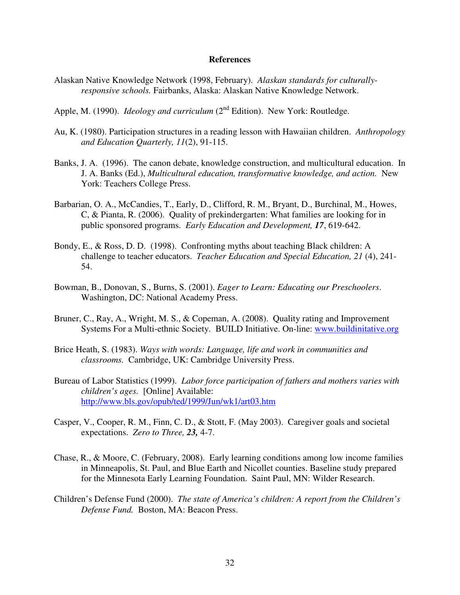#### **References**

- Alaskan Native Knowledge Network (1998, February). *Alaskan standards for culturallyresponsive schools.* Fairbanks, Alaska: Alaskan Native Knowledge Network.
- Apple, M. (1990). *Ideology and curriculum* (2<sup>nd</sup> Edition). New York: Routledge.
- Au, K. (1980). Participation structures in a reading lesson with Hawaiian children. *Anthropology and Education Quarterly, 11*(2), 91-115.
- Banks, J. A. (1996). The canon debate, knowledge construction, and multicultural education. In J. A. Banks (Ed.), *Multicultural education, transformative knowledge, and action.* New York: Teachers College Press.
- Barbarian, O. A., McCandies, T., Early, D., Clifford, R. M., Bryant, D., Burchinal, M., Howes, C, & Pianta, R. (2006). Quality of prekindergarten: What families are looking for in public sponsored programs. *Early Education and Development, 17*, 619-642.
- Bondy, E., & Ross, D. D. (1998). Confronting myths about teaching Black children: A challenge to teacher educators. *Teacher Education and Special Education, 21* (4), 241- 54.
- Bowman, B., Donovan, S., Burns, S. (2001). *Eager to Learn: Educating our Preschoolers*. Washington, DC: National Academy Press.
- Bruner, C., Ray, A., Wright, M. S., & Copeman, A. (2008). Quality rating and Improvement Systems For a Multi-ethnic Society. BUILD Initiative. On-line: www.buildinitative.org
- Brice Heath, S. (1983). *Ways with words: Language, life and work in communities and classrooms.* Cambridge, UK: Cambridge University Press.
- Bureau of Labor Statistics (1999). *Labor force participation of fathers and mothers varies with children's ages.* [Online] Available: http://www.bls.gov/opub/ted/1999/Jun/wk1/art03.htm
- Casper, V., Cooper, R. M., Finn, C. D., & Stott, F. (May 2003). Caregiver goals and societal expectations. *Zero to Three, 23,* 4-7.
- Chase, R., & Moore, C. (February, 2008). Early learning conditions among low income families in Minneapolis, St. Paul, and Blue Earth and Nicollet counties. Baseline study prepared for the Minnesota Early Learning Foundation. Saint Paul, MN: Wilder Research.
- Children's Defense Fund (2000). *The state of America's children: A report from the Children's Defense Fund.* Boston, MA: Beacon Press.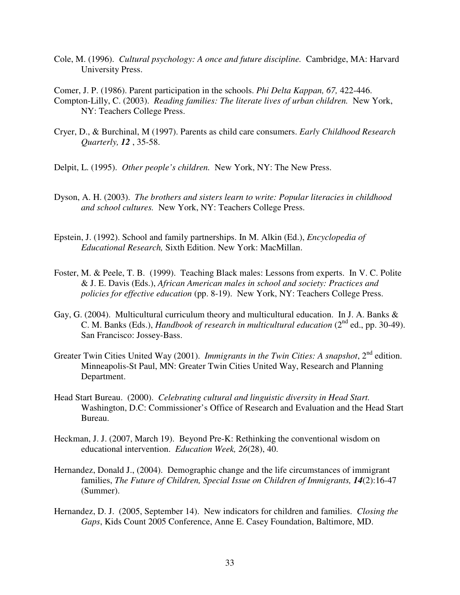- Cole, M. (1996). *Cultural psychology: A once and future discipline.* Cambridge, MA: Harvard University Press.
- Comer, J. P. (1986). Parent participation in the schools. *Phi Delta Kappan, 67,* 422-446. Compton-Lilly, C. (2003). *Reading families: The literate lives of urban children.* New York, NY: Teachers College Press.
- Cryer, D., & Burchinal, M (1997). Parents as child care consumers. *Early Childhood Research Quarterly, 12* , 35-58.
- Delpit, L. (1995). *Other people's children.* New York, NY: The New Press.
- Dyson, A. H. (2003). *The brothers and sisters learn to write: Popular literacies in childhood and school cultures.* New York, NY: Teachers College Press.
- Epstein, J. (1992). School and family partnerships. In M. Alkin (Ed.), *Encyclopedia of Educational Research,* Sixth Edition. New York: MacMillan.
- Foster, M. & Peele, T. B. (1999). Teaching Black males: Lessons from experts. In V. C. Polite & J. E. Davis (Eds.), *African American males in school and society: Practices and policies for effective education* (pp. 8-19). New York, NY: Teachers College Press.
- Gay, G. (2004). Multicultural curriculum theory and multicultural education. In J. A. Banks & C. M. Banks (Eds.), *Handbook of research in multicultural education* (2<sup>nd</sup> ed., pp. 30-49). San Francisco: Jossey-Bass.
- Greater Twin Cities United Way (2001). *Immigrants in the Twin Cities: A snapshot*, 2<sup>nd</sup> edition. Minneapolis-St Paul, MN: Greater Twin Cities United Way, Research and Planning Department.
- Head Start Bureau. (2000). *Celebrating cultural and linguistic diversity in Head Start.*  Washington, D.C: Commissioner's Office of Research and Evaluation and the Head Start Bureau.
- Heckman, J. J. (2007, March 19). Beyond Pre-K: Rethinking the conventional wisdom on educational intervention. *Education Week, 26*(28), 40.
- Hernandez, Donald J., (2004). Demographic change and the life circumstances of immigrant families, *The Future of Children, Special Issue on Children of Immigrants, 14*(2):16-47 (Summer).
- Hernandez, D. J. (2005, September 14). New indicators for children and families. *Closing the Gaps*, Kids Count 2005 Conference, Anne E. Casey Foundation, Baltimore, MD.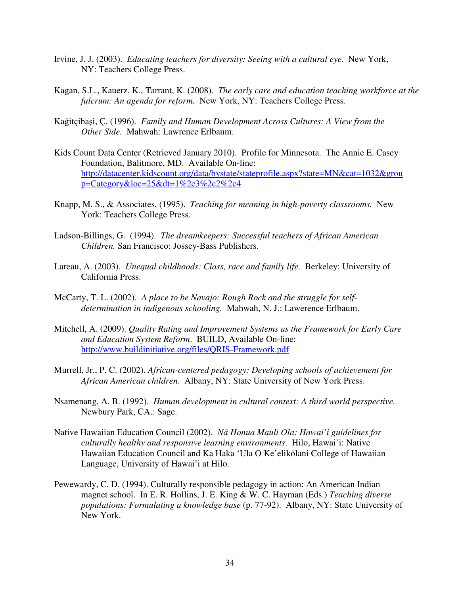- Irvine, J. J. (2003). *Educating teachers for diversity: Seeing with a cultural eye.* New York, NY: Teachers College Press.
- Kagan, S.L., Kauerz, K., Tarrant, K. (2008). *The early care and education teaching workforce at the fulcrum: An agenda for reform.* New York, NY: Teachers College Press.
- Kağitçibaşi, Ç. (1996). *Family and Human Development Across Cultures: A View from the Other Side.* Mahwah: Lawrence Erlbaum.
- Kids Count Data Center (Retrieved January 2010). Profile for Minnesota. The Annie E. Casey Foundation, Balitmore, MD. Available On-line: http://datacenter.kidscount.org/data/bystate/stateprofile.aspx?state=MN&cat=1032&grou p=Category&loc=25&dt=1%2c3%2c2%2c4
- Knapp, M. S., & Associates, (1995). *Teaching for meaning in high-poverty classrooms.* New York: Teachers College Press.
- Ladson-Billings, G. (1994). *The dreamkeepers: Successful teachers of African American Children.* San Francisco: Jossey-Bass Publishers.
- Lareau, A. (2003). *Unequal childhoods: Class, race and family life.* Berkeley: University of California Press.
- McCarty, T. L. (2002). *A place to be Navajo: Rough Rock and the struggle for selfdetermination in indigenous schooling.* Mahwah, N. J.: Lawerence Erlbaum.
- Mitchell, A. (2009). *Quality Rating and Improvement Systems as the Framework for Early Care and Education System Reform*. BUILD, Available On-line: http://www.buildinitiative.org/files/QRIS-Framework.pdf
- Murrell, Jr., P. C. (2002). *African-centered pedagogy: Developing schools of achievement for African American children*. Albany, NY: State University of New York Press.
- Nsamenang, A. B. (1992). *Human development in cultural context: A third world perspective.*  Newbury Park, CA.: Sage.
- Native Hawaiian Education Council (2002). *N*ā *Honua Mauli Ola: Hawai'i guidelines for culturally healthy and responsive learning environments*. Hilo, Hawai'i: Native Hawaiian Education Council and Ka Haka 'Ula O Ke'elikōlani College of Hawaiian Language, University of Hawai'i at Hilo.
- Pewewardy, C. D. (1994). Culturally responsible pedagogy in action: An American Indian magnet school. In E. R. Hollins, J. E. King & W. C. Hayman (Eds.) *Teaching diverse populations: Formulating a knowledge base* (p. 77-92). Albany, NY: State University of New York.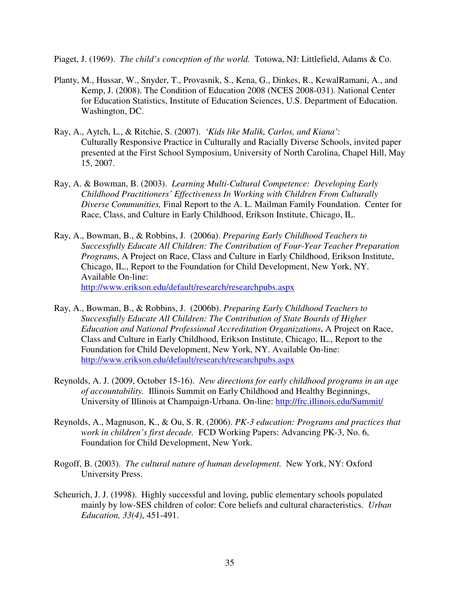Piaget, J. (1969). *The child's conception of the world.* Totowa, NJ: Littlefield, Adams & Co.

- Planty, M., Hussar, W., Snyder, T., Provasnik, S., Kena, G., Dinkes, R., KewalRamani, A., and Kemp, J. (2008). The Condition of Education 2008 (NCES 2008-031). National Center for Education Statistics, Institute of Education Sciences, U.S. Department of Education. Washington, DC.
- Ray, A., Aytch, L., & Ritchie, S. (2007). *'Kids like Malik, Carlos, and Kiana'*: Culturally Responsive Practice in Culturally and Racially Diverse Schools, invited paper presented at the First School Symposium, University of North Carolina, Chapel Hill, May 15, 2007.
- Ray, A. & Bowman, B. (2003). *Learning Multi-Cultural Competence: Developing Early Childhood Practitioners' Effectiveness In Working with Children From Culturally Diverse Communities,* Final Report to the A. L. Mailman Family Foundation. Center for Race, Class, and Culture in Early Childhood, Erikson Institute, Chicago, IL.
- Ray, A., Bowman, B., & Robbins, J. (2006a). *Preparing Early Childhood Teachers to Successfully Educate All Children: The Contribution of Four-Year Teacher Preparation Program*s, A Project on Race, Class and Culture in Early Childhood, Erikson Institute, Chicago, IL., Report to the Foundation for Child Development, New York, NY. Available On-line: http://www.erikson.edu/default/research/researchpubs.aspx
- Ray, A., Bowman, B., & Robbins, J. (2006b). *Preparing Early Childhood Teachers to Successfully Educate All Children: The Contribution of State Boards of Higher Education and National Professional Accreditation Organizations*, A Project on Race, Class and Culture in Early Childhood, Erikson Institute, Chicago, IL., Report to the Foundation for Child Development, New York, NY. Available On-line: http://www.erikson.edu/default/research/researchpubs.aspx
- Reynolds, A. J. (2009, October 15-16). *New directions for early childhood programs in an age of accountability.* Illinois Summit on Early Childhood and Healthy Beginnings, University of Illinois at Champaign-Urbana. On-line: http://frc.illinois.edu/Summit/
- Reynolds, A., Magnuson, K., & Ou, S. R. (2006). *PK-3 education: Programs and practices that work in children's first decade.* FCD Working Papers: Advancing PK-3, No. 6, Foundation for Child Development, New York.
- Rogoff, B. (2003). *The cultural nature of human development.* New York, NY: Oxford University Press.
- Scheurich, J. J. (1998). Highly successful and loving, public elementary schools populated mainly by low-SES children of color: Core beliefs and cultural characteristics. *Urban Education, 33(4)*, 451-491.